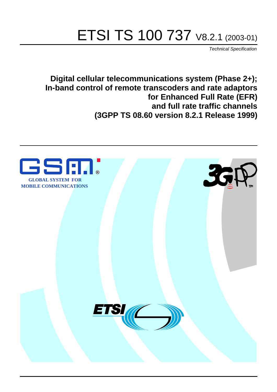# ETSI TS 100 737 V8.2.1 (2003-01)

Technical Specification

**Digital cellular telecommunications system (Phase 2+); In-band control of remote transcoders and rate adaptors for Enhanced Full Rate (EFR) and full rate traffic channels (3GPP TS 08.60 version 8.2.1 Release 1999)**

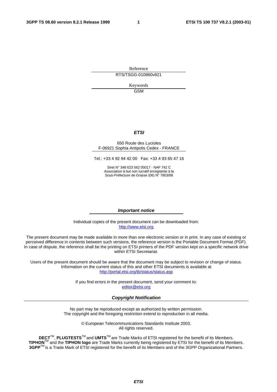Reference RTS/TSGG-010860v821

> Keywords GSM

#### **ETSI**

#### 650 Route des Lucioles F-06921 Sophia Antipolis Cedex - FRANCE

Tel.: +33 4 92 94 42 00 Fax: +33 4 93 65 47 16

Siret N° 348 623 562 00017 - NAF 742 C Association à but non lucratif enregistrée à la Sous-Préfecture de Grasse (06) N° 7803/88

#### **Important notice**

Individual copies of the present document can be downloaded from: [http://www.etsi.org](http://www.etsi.org/)

The present document may be made available in more than one electronic version or in print. In any case of existing or perceived difference in contents between such versions, the reference version is the Portable Document Format (PDF). In case of dispute, the reference shall be the printing on ETSI printers of the PDF version kept on a specific network drive within ETSI Secretariat.

Users of the present document should be aware that the document may be subject to revision or change of status. Information on the current status of this and other ETSI documents is available at <http://portal.etsi.org/tb/status/status.asp>

> If you find errors in the present document, send your comment to: [editor@etsi.org](mailto:editor@etsi.org)

#### **Copyright Notification**

No part may be reproduced except as authorized by written permission. The copyright and the foregoing restriction extend to reproduction in all media.

> © European Telecommunications Standards Institute 2003. All rights reserved.

**DECT**TM, **PLUGTESTS**TM and **UMTS**TM are Trade Marks of ETSI registered for the benefit of its Members. **TIPHON**TM and the **TIPHON logo** are Trade Marks currently being registered by ETSI for the benefit of its Members. **3GPP**TM is a Trade Mark of ETSI registered for the benefit of its Members and of the 3GPP Organizational Partners.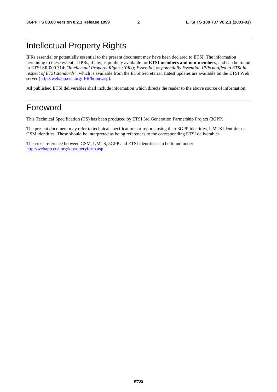### Intellectual Property Rights

IPRs essential or potentially essential to the present document may have been declared to ETSI. The information pertaining to these essential IPRs, if any, is publicly available for **ETSI members and non-members**, and can be found in ETSI SR 000 314: *"Intellectual Property Rights (IPRs); Essential, or potentially Essential, IPRs notified to ETSI in respect of ETSI standards"*, which is available from the ETSI Secretariat. Latest updates are available on the ETSI Web server (<http://webapp.etsi.org/IPR/home.asp>).

All published ETSI deliverables shall include information which directs the reader to the above source of information.

### Foreword

This Technical Specification (TS) has been produced by ETSI 3rd Generation Partnership Project (3GPP).

The present document may refer to technical specifications or reports using their 3GPP identities, UMTS identities or GSM identities. These should be interpreted as being references to the corresponding ETSI deliverables.

The cross reference between GSM, UMTS, 3GPP and ETSI identities can be found under <http://webapp.etsi.org/key/queryform.asp>.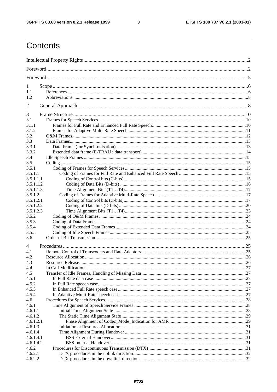$\mathbf{3}$ 

### Contents

| 1              |  |
|----------------|--|
| 1.1            |  |
| 1.2            |  |
| $\overline{2}$ |  |
|                |  |
| 3<br>3.1       |  |
| 3.1.1          |  |
| 3.1.2          |  |
| 3.2            |  |
| 3.3            |  |
| 3.3.1          |  |
| 3.3.2          |  |
| 3.4            |  |
| 3.5            |  |
| 3.5.1          |  |
| 3.5.1.1        |  |
| 3.5.1.1.1      |  |
| 3.5.1.1.2      |  |
| 3.5.1.1.3      |  |
| 3.5.1.2        |  |
| 3.5.1.2.1      |  |
| 3.5.1.2.2      |  |
| 3.5.1.2.3      |  |
| 3.5.2          |  |
| 3.5.3          |  |
| 3.5.4          |  |
| 3.5.5          |  |
| 3.6            |  |
| $\overline{4}$ |  |
| 4.1            |  |
| 4.2            |  |
| 4.3            |  |
| 4.4            |  |
| 4.5            |  |
| 4.5.1          |  |
| 4.5.2          |  |
| 4.5.3<br>4.5.4 |  |
| 4.6            |  |
| 4.6.1          |  |
| 4.6.1.1        |  |
| 4.6.1.2        |  |
| 4.6.1.2.1      |  |
| 4.6.1.3        |  |
| 4.6.1.4        |  |
| 4.6.1.4.1      |  |
| 4.6.1.4.2      |  |
| 4.6.2          |  |
| 4.6.2.1        |  |
| 4.6.2.2        |  |
|                |  |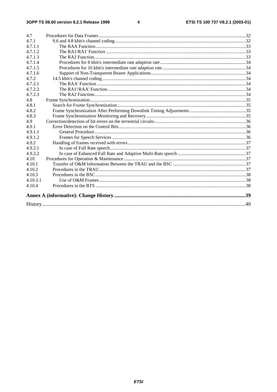#### $\overline{\mathbf{4}}$

| 4.7      |  |
|----------|--|
| 4.7.1    |  |
| 4.7.1.1  |  |
| 4.7.1.2  |  |
| 4.7.1.3  |  |
| 4.7.1.4  |  |
| 4.7.1.5  |  |
| 4.7.1.6  |  |
| 4.7.2    |  |
| 4.7.2.1  |  |
| 4.7.2.2  |  |
| 4.7.2.3  |  |
| 4.8      |  |
| 4.8.1    |  |
| 4.8.2    |  |
| 4.8.3    |  |
| 4.9      |  |
| 4.9.1    |  |
| 4.9.1.1  |  |
| 4.9.1.2  |  |
| 4.9.2    |  |
| 4.9.2.1  |  |
| 4.9.2.2  |  |
| 4.10     |  |
| 4.10.1   |  |
| 4.10.2   |  |
| 4.10.3   |  |
| 4.10.3.1 |  |
| 4.10.4   |  |
|          |  |
|          |  |
|          |  |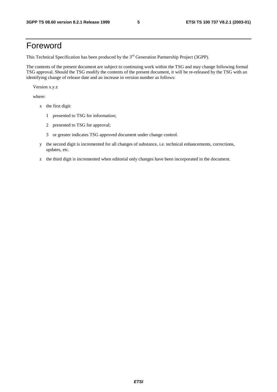### Foreword

This Technical Specification has been produced by the 3<sup>rd</sup> Generation Partnership Project (3GPP).

The contents of the present document are subject to continuing work within the TSG and may change following formal TSG approval. Should the TSG modify the contents of the present document, it will be re-released by the TSG with an identifying change of release date and an increase in version number as follows:

Version x.y.z

where:

- x the first digit:
	- 1 presented to TSG for information;
	- 2 presented to TSG for approval;
	- 3 or greater indicates TSG approved document under change control.
- y the second digit is incremented for all changes of substance, i.e. technical enhancements, corrections, updates, etc.
- z the third digit is incremented when editorial only changes have been incorporated in the document.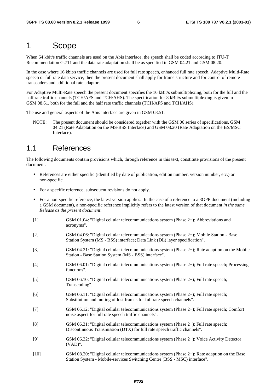### 1 Scope

When 64 kbit/s traffic channels are used on the Abis interface, the speech shall be coded according to ITU-T Recommendation G.711 and the data rate adaptation shall be as specified in GSM 04.21 and GSM 08.20.

In the case where 16 kbit/s traffic channels are used for full rate speech, enhanced full rate speech, Adaptive Multi-Rate speech or full rate data service, then the present document shall apply for frame structure and for control of remote transcoders and additional rate adaptors.

For Adaptive Multi-Rate speech the present document specifies the 16 kBit/s submultiplexing, both for the full and the half rate traffic channels (TCH/AFS and TCH/AHS). The specification for 8 kBit/s submultiplexing is given in GSM 08.61, both for the full and the half rate traffic channels (TCH/AFS and TCH/AHS).

The use and general aspects of the Abis interface are given in GSM 08.51.

NOTE: The present document should be considered together with the GSM 06 series of specifications, GSM 04.21 (Rate Adaptation on the MS-BSS Interface) and GSM 08.20 (Rate Adaptation on the BS/MSC Interface).

### 1.1 References

The following documents contain provisions which, through reference in this text, constitute provisions of the present document.

- References are either specific (identified by date of publication, edition number, version number, etc.) or non-specific.
- For a specific reference, subsequent revisions do not apply.
- For a non-specific reference, the latest version applies. In the case of a reference to a 3GPP document (including a GSM document), a non-specific reference implicitly refers to the latest version of that document *in the same Release as the present document*.
- [1] GSM 01.04: "Digital cellular telecommunications system (Phase 2+); Abbreviations and acronyms".
- [2] GSM 04.06: "Digital cellular telecommunications system (Phase 2+); Mobile Station Base Station System (MS - BSS) interface; Data Link (DL) layer specification".
- [3] GSM 04.21: "Digital cellular telecommunications system (Phase 2+); Rate adaption on the Mobile Station - Base Station System (MS - BSS) interface".
- [4] GSM 06.01: "Digital cellular telecommunications system (Phase 2+); Full rate speech; Processing functions".
- [5] GSM 06.10: "Digital cellular telecommunications system (Phase 2+); Full rate speech; Transcoding".
- [6] GSM 06.11: "Digital cellular telecommunications system (Phase 2+); Full rate speech; Substitution and muting of lost frames for full rate speech channels".
- [7] GSM 06.12: "Digital cellular telecommunications system (Phase 2+); Full rate speech; Comfort noise aspect for full rate speech traffic channels".
- [8] GSM 06.31: "Digital cellular telecommunications system (Phase 2+); Full rate speech; Discontinuous Transmission (DTX) for full rate speech traffic channels".
- [9] GSM 06.32: "Digital cellular telecommunications system (Phase 2+); Voice Activity Detector (VAD)".
- [10] GSM 08.20: "Digital cellular telecommunications system (Phase 2+); Rate adaption on the Base Station System - Mobile-services Switching Centre (BSS - MSC) interface".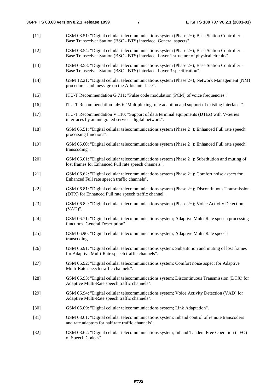- [11] GSM 08.51: "Digital cellular telecommunications system (Phase 2+); Base Station Controller Base Transceiver Station (BSC - BTS) interface; General aspects".
- [12] GSM 08.54: "Digital cellular telecommunications system (Phase 2+); Base Station Controller Base Transceiver Station (BSC - BTS) interface; Layer 1 structure of physical circuits".
- [13] GSM 08.58: "Digital cellular telecommunications system (Phase 2+); Base Station Controller Base Transceiver Station (BSC - BTS) interface; Layer 3 specification".
- [14] GSM 12.21: "Digital cellular telecommunications system (Phase 2+); Network Management (NM) procedures and message on the A-bis interface".
- [15] ITU-T Recommendation G.711: "Pulse code modulation (PCM) of voice frequencies".
- [16] ITU-T Recommendation I.460: "Multiplexing, rate adaption and support of existing interfaces".
- [17] ITU-T Recommendation V.110: "Support of data terminal equipments (DTEs) with V-Series interfaces by an integrated services digital network".
- [18] GSM 06.51: "Digital cellular telecommunications system (Phase 2+); Enhanced Full rate speech processing functions".
- [19] GSM 06.60: "Digital cellular telecommunications system (Phase 2+); Enhanced Full rate speech transcoding".
- [20] GSM 06.61: "Digital cellular telecommunications system (Phase 2+); Substitution and muting of lost frames for Enhanced Full rate speech channels".
- [21] GSM 06.62: "Digital cellular telecommunications system (Phase 2+); Comfort noise aspect for Enhanced Full rate speech traffic channels".
- [22] GSM 06.81: "Digital cellular telecommunications system (Phase 2+); Discontinuous Transmission (DTX) for Enhanced Full rate speech traffic channel".
- [23] GSM 06.82: "Digital cellular telecommunications system (Phase 2+); Voice Activity Detection (VAD)".
- [24] GSM 06.71: "Digital cellular telecommunications system; Adaptive Multi-Rate speech processing functions, General Description".
- [25] GSM 06.90: "Digital cellular telecommunications system; Adaptive Multi-Rate speech transcoding".
- [26] GSM 06.91: "Digital cellular telecommunications system; Substitution and muting of lost frames for Adaptive Multi-Rate speech traffic channels".
- [27] GSM 06.92: "Digital cellular telecommunications system; Comfort noise aspect for Adaptive Multi-Rate speech traffic channels".
- [28] GSM 06.93: "Digital cellular telecommunications system; Discontinuous Transmission (DTX) for Adaptive Multi-Rate speech traffic channels".
- [29] GSM 06.94: "Digital cellular telecommunications system; Voice Activity Detection (VAD) for Adaptive Multi-Rate speech traffic channels".
- [30] GSM 05.09: "Digital cellular telecommunications system; Link Adaptation".
- [31] GSM 08.61: "Digital cellular telecommunications system; Inband control of remote transcoders and rate adaptors for half rate traffic channels".
- [32] GSM 08.62: "Digital cellular telecommunications system; Inband Tandem Free Operation (TFO) of Speech Codecs".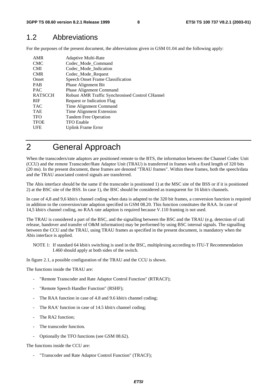### 1.2 Abbreviations

For the purposes of the present document, the abbreviations given in GSM 01.04 and the following apply:

| AMR            | Adaptive Multi-Rate                             |
|----------------|-------------------------------------------------|
| <b>CMC</b>     | Codec_Mode_Command                              |
| <b>CMI</b>     | Codec Mode Indication                           |
| <b>CMR</b>     | Codec_Mode_Request                              |
| Onset          | <b>Speech Onset Frame Classification</b>        |
| <b>PAB</b>     | <b>Phase Alignment Bit</b>                      |
| <b>PAC</b>     | <b>Phase Alignment Command</b>                  |
| <b>RATSCCH</b> | Robust AMR Traffic Synchronised Control CHannel |
| <b>RIF</b>     | Request or Indication Flag                      |
| <b>TAC</b>     | Time Alignment Command                          |
| <b>TAE</b>     | Time Alignment Extension                        |
| <b>TFO</b>     | <b>Tandem Free Operation</b>                    |
| <b>TFOE</b>    | <b>TFO</b> Enable                               |
| UFE            | Uplink Frame Error                              |
|                |                                                 |

### 2 General Approach

When the transcoders/rate adaptors are positioned remote to the BTS, the information between the Channel Codec Unit (CCU) and the remote Transcoder/Rate Adaptor Unit (TRAU) is transferred in frames with a fixed length of 320 bits (20 ms). In the present document, these frames are denoted "TRAU frames". Within these frames, both the speech/data and the TRAU associated control signals are transferred.

The Abis interface should be the same if the transcoder is positioned 1) at the MSC site of the BSS or if it is positioned 2) at the BSC site of the BSS. In case 1), the BSC should be considered as transparent for 16 kbit/s channels.

In case of 4,8 and 9,6 kbit/s channel coding when data is adapted to the 320 bit frames, a conversion function is required in addition to the conversion/rate adaption specified in GSM 08.20. This function constitutes the RAA. In case of 14,5 kbit/s channel coding, no RAA rate adaption is required because V.110 framing is not used.

The TRAU is considered a part of the BSC, and the signalling between the BSC and the TRAU (e.g. detection of call release, handover and transfer of O&M information) may be performed by using BSC internal signals. The signalling between the CCU and the TRAU, using TRAU frames as specified in the present document, is mandatory when the Abis interface is applied.

NOTE 1: If standard 64 kbit/s switching is used in the BSC, multiplexing according to ITU-T Recommendation I.460 should apply at both sides of the switch.

In figure 2.1, a possible configuration of the TRAU and the CCU is shown.

The functions inside the TRAU are:

- "Remote Transcoder and Rate Adaptor Control Function" (RTRACF):
- "Remote Speech Handler Function" (RSHF);
- The RAA function in case of 4.8 and 9.6 kbit/s channel coding;
- The RAA' function in case of 14.5 kbit/s channel coding;
- The RA2 function;
- The transcoder function.
- Optionally the TFO functions (see GSM 08.62).

The functions inside the CCU are:

"Transcoder and Rate Adaptor Control Function" (TRACF):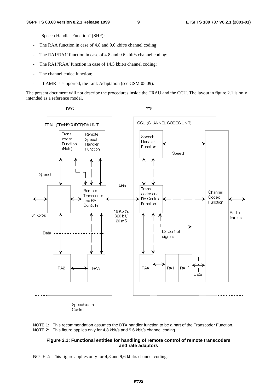- "Speech Handler Function" (SHF);
- The RAA function in case of 4.8 and 9.6 kbit/s channel coding;
- The RA1/RA1' function in case of 4.8 and 9.6 kbit/s channel coding;
- The RA1'/RAA' function in case of 14.5 kbit/s channel coding;
- The channel codec function;
- If AMR is supported, the Link Adaptation (see GSM 05.09).

The present document will not describe the procedures inside the TRAU and the CCU. The layout in figure 2.1 is only intended as a reference model.





#### **Figure 2.1: Functional entities for handling of remote control of remote transcoders and rate adaptors**

NOTE 2: This figure applies only for 4,8 and 9,6 kbit/s channel coding.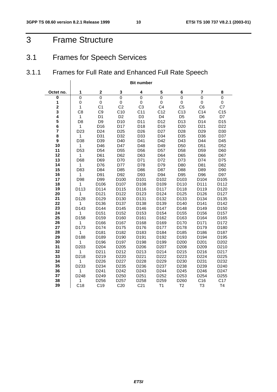### 3 Frame Structure

### 3.1 Frames for Speech Services

### 3.1.1 Frames for Full Rate and Enhanced Full Rate Speech

|                         | <b>Bit number</b>    |                        |                        |                        |                        |                        |                         |                  |  |
|-------------------------|----------------------|------------------------|------------------------|------------------------|------------------------|------------------------|-------------------------|------------------|--|
| Octet no.               | 1                    | $\mathbf 2$            | 3                      | 4                      | 5                      | 6                      | $\overline{\mathbf{r}}$ | 8                |  |
| $\bf{0}$                | $\overline{0}$       | $\mathbf 0$            | $\mathbf 0$            | $\overline{0}$         | $\mathbf 0$            | $\mathbf 0$            | $\overline{0}$          | $\mathsf 0$      |  |
| 1                       | 0                    | $\pmb{0}$              | $\mathbf 0$            | 0                      | $\pmb{0}$              | 0                      | $\mathbf 0$             | 0                |  |
| $\overline{\mathbf{c}}$ | $\mathbf{1}$         | C <sub>1</sub>         | C <sub>2</sub>         | C <sub>3</sub>         | C <sub>4</sub>         | C <sub>5</sub>         | C <sub>6</sub>          | C7               |  |
| 3                       | C <sub>8</sub>       | C <sub>9</sub>         | C10                    | C11                    | C <sub>12</sub>        | C <sub>13</sub>        | C <sub>14</sub>         | C <sub>15</sub>  |  |
| 4                       | $\mathbf{1}$         | D <sub>1</sub>         | D <sub>2</sub>         | D <sub>3</sub>         | D <sub>4</sub>         | D <sub>5</sub>         | D <sub>6</sub>          | D7               |  |
| $\frac{5}{6}$           | D <sub>8</sub>       | D <sub>9</sub>         | D <sub>10</sub>        | D11                    | D12                    | D13                    | D14                     | D <sub>15</sub>  |  |
| $\overline{7}$          | $\mathbf{1}$         | D16                    | D17                    | D18                    | D <sub>19</sub>        | D <sub>20</sub>        | D <sub>21</sub>         | D <sub>22</sub>  |  |
| 8                       | D <sub>23</sub><br>1 | D <sub>24</sub><br>D31 | D <sub>25</sub><br>D32 | D <sub>26</sub><br>D33 | D <sub>27</sub><br>D34 | D <sub>28</sub><br>D35 | D <sub>29</sub><br>D36  | D30<br>D37       |  |
| 9                       | D38                  | D39                    | D40                    | D41                    | D42                    | D43                    | D44                     | D45              |  |
| 10                      | $\mathbf{1}$         | D46                    | D47                    | D48                    | D49                    | D <sub>50</sub>        | D <sub>51</sub>         | D <sub>52</sub>  |  |
| 11                      | D <sub>53</sub>      | D <sub>54</sub>        | D <sub>55</sub>        | D <sub>56</sub>        | D <sub>57</sub>        | D <sub>58</sub>        | D <sub>59</sub>         | D60              |  |
| 12                      | $\mathbf{1}$         | D61                    | D62                    | D63                    | D64                    | D65                    | D66                     | D67              |  |
| 13                      | D68                  | D69                    | D70                    | D71                    | D72                    | D73                    | D74                     | D75              |  |
| 14                      | $\mathbf{1}$         | D76                    | D77                    | D78                    | D79                    | D80                    | D81                     | D82              |  |
| 15                      | D83                  | D84                    | D85                    | D86                    | D87                    | D88                    | D89                     | D90              |  |
| 16                      | 1                    | D91                    | D92                    | D93                    | D94                    | D95                    | D96                     | D97              |  |
| 17                      | D98                  | D99                    | D <sub>100</sub>       | D <sub>101</sub>       | D102                   | D <sub>103</sub>       | D104                    | D <sub>105</sub> |  |
| 18                      | 1                    | D106                   | D107                   | D108                   | D109                   | D110                   | D111                    | D112             |  |
| 19                      | D113                 | D114                   | D115                   | D116                   | D117                   | D118                   | D119                    | D120             |  |
| 20                      | 1                    | D121                   | D122                   | D123                   | D124                   | D125                   | D126                    | D127             |  |
| 21                      | D128                 | D129                   | D130                   | D131                   | D132                   | D133                   | D134                    | D135             |  |
| 22<br>23                | 1<br>D143            | D136<br>D144           | D137<br>D145           | D138<br>D146           | D139<br>D147           | D140<br>D148           | D141<br>D149            | D142<br>D150     |  |
| 24                      | 1                    | D151                   | D152                   | D153                   | D154                   | D155                   | D156                    | D157             |  |
| 25                      | D158                 | D159                   | D <sub>160</sub>       | D161                   | D162                   | D <sub>163</sub>       | D164                    | D165             |  |
| 26                      | 1                    | D166                   | D167                   | D168                   | D169                   | D170                   | D171                    | D172             |  |
| 27                      | D173                 | D174                   | D175                   | D176                   | D177                   | D178                   | D179                    | D180             |  |
| 28                      | 1                    | D181                   | D182                   | D183                   | D184                   | D185                   | D186                    | D187             |  |
| 29                      | D188                 | D189                   | D190                   | D191                   | D192                   | D193                   | D194                    | D195             |  |
| 30                      | $\mathbf{1}$         | D196                   | D197                   | D198                   | D199                   | D200                   | D <sub>201</sub>        | D <sub>202</sub> |  |
| 31                      | D203                 | D <sub>204</sub>       | D <sub>205</sub>       | D <sub>206</sub>       | D207                   | D <sub>208</sub>       | D209                    | D <sub>210</sub> |  |
| 32                      | $\mathbf{1}$         | D211                   | D212                   | D213                   | D214                   | D215                   | D216                    | D217             |  |
| 33                      | D218                 | D219                   | D220                   | D <sub>221</sub>       | D222                   | D223                   | D224                    | D225             |  |
| 34                      | 1                    | D226                   | D227                   | D228                   | D229                   | D230                   | D231                    | D232             |  |
| 35<br>36                | D233                 | D234                   | D235                   | D236                   | D237<br>D244           | D238                   | D239<br>D246            | D240             |  |
| 37                      | 1<br>D248            | D241<br>D249           | D242<br>D250           | D243<br>D251           | D252                   | D245<br>D253           | D <sub>254</sub>        | D247<br>D255     |  |
| 38                      | 1                    | D256                   | D257                   | D258                   | D259                   | D260                   | C <sub>16</sub>         | C17              |  |
| 39                      | C18                  | C <sub>19</sub>        | C <sub>20</sub>        | C <sub>21</sub>        | T1                     | T <sub>2</sub>         | T <sub>3</sub>          | T4               |  |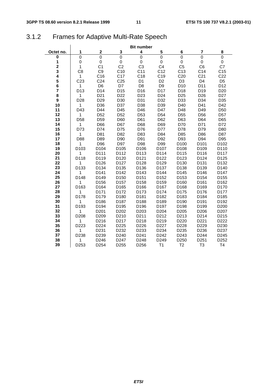### 3.1.2 Frames for Adaptive Multi-Rate Speech

|                         |                 |                  |                  | <b>Bit number</b> |                  |                  |                  |                   |
|-------------------------|-----------------|------------------|------------------|-------------------|------------------|------------------|------------------|-------------------|
| Octet no.               | 1               | $\mathbf 2$      | 3                | 4                 | 5                | 6                | 7                | 8                 |
| 0                       | $\mathbf 0$     | $\overline{0}$   | $\mathsf 0$      | $\overline{0}$    | $\mathbf 0$      | $\mathbf 0$      | $\mathbf 0$      | $\mathbf 0$       |
| 1                       | $\mathbf 0$     | $\mathsf 0$      | 0                | 0                 | $\mathsf 0$      | 0                | 0                | 0                 |
| $\overline{\mathbf{2}}$ | $\mathbf{1}$    | C <sub>1</sub>   | C <sub>2</sub>   | C <sub>3</sub>    | C <sub>4</sub>   | C <sub>5</sub>   | C <sub>6</sub>   | C7                |
| 3                       | C <sub>8</sub>  | C <sub>9</sub>   | C10              | C <sub>11</sub>   | C12              | C <sub>13</sub>  | C14              | C <sub>15</sub>   |
| 4                       | $\mathbf{1}$    | C16              | C <sub>17</sub>  | C <sub>18</sub>   | C <sub>19</sub>  | C <sub>20</sub>  | C <sub>21</sub>  | C <sub>22</sub>   |
| 5                       | C <sub>23</sub> | C <sub>24</sub>  | C <sub>25</sub>  | D <sub>1</sub>    | D <sub>2</sub>   | D <sub>3</sub>   | D <sub>4</sub>   | D <sub>5</sub>    |
| 6                       | 1               | D <sub>6</sub>   | D7               | D <sub>8</sub>    | D <sub>9</sub>   | D <sub>10</sub>  | D11              | D12               |
| 7                       | D <sub>13</sub> | D14              | D <sub>15</sub>  | D <sub>16</sub>   | D17              | D18              | D19              | D <sub>20</sub>   |
| 8                       | 1               | D <sub>21</sub>  | D <sub>22</sub>  | D <sub>23</sub>   | D <sub>24</sub>  | D <sub>25</sub>  | D <sub>26</sub>  | D <sub>27</sub>   |
| 9                       | D <sub>28</sub> | D <sub>29</sub>  | D30              | D31               | D32              | D33              | D34              | D35               |
| 10                      | 1               | D36              | D37              | D38               | D39              | D40              | D41              | D42               |
| 11                      | D43             | D44              | D45              | D46               | D47              | D48              | D49              | D <sub>50</sub>   |
| 12                      | $\mathbf{1}$    | D <sub>52</sub>  | D <sub>52</sub>  | D <sub>53</sub>   | D <sub>54</sub>  | D <sub>55</sub>  | D <sub>56</sub>  | D <sub>57</sub>   |
| 13                      | D <sub>58</sub> | D <sub>59</sub>  | D60              | D61               | D62              | D63              | D64              | D65               |
| 14                      | 1               | D66              | D67              | D68               | D69              | D70              | D71              | D72               |
| 15                      | D73             | D74              | D75              | D76               | D77              | D78              | D79              | D80               |
| 16                      | 1               | D81              | D82              | D83               | D84              | D85              | D86              | D87               |
| 17                      | D88             | D89              | D90              | D91               | D92              | D93              | D94              | D95               |
| 18                      | 1               | D96              | D97              | D98               | D99              | D100             | D101             | D <sub>102</sub>  |
| 19                      | D103            | D104             | D105             | D106              | D107             | D <sub>108</sub> | D <sub>109</sub> | D110              |
| 20                      | 1               | D111             | D112             | D113              | D114             | D115             | D116             | D117              |
| 21                      | D118            | D119             | D120             | D121              | D122             | D123             | D124             | D125              |
| 22                      | 1               | D126             | D127             | D128              | D129             | D130             | D131             | D132              |
| 23                      | D133            | D134             | D135             | D136              | D137             | D138             | D139             | D140              |
| 24                      | 1               | D141             | D142             | D143              | D144             | D145             | D146             | D147              |
| 25                      | D148            | D149             | D <sub>150</sub> | D151              | D152             | D153             | D154             | D155              |
| 26                      | 1               | D156             | D157             | D158              | D159             | D160             | D161             | D162              |
| 27                      | D163            | D164             | D165             | D166              | D167             | D168             | D169             | D170              |
| 28                      | 1               | D171             | D172             | D173              | D174             | D175             | D176             | D177              |
| 29                      | D178            | D179             | D180             | D181              | D182             | D183             | D184             | D185              |
| 30                      | 1               | D186             | D187             | D188              | D189             | D190             | D191             | D192              |
| 31                      | D193            | D194             | D195             | D196              | D197             | D198             | D199             | D <sub>200</sub>  |
| 32                      | 1               | D <sub>201</sub> | D <sub>202</sub> | D203              | D <sub>204</sub> | D205             | D206             | D207              |
| 33                      | D208            | D209             | D210             | D211              | D212             | D213             | D214             | D <sub>2</sub> 15 |
| 34                      | 1               | D216             | D217             | D218              | D219             | D220             | D221             | D222              |
| 35                      | D223            | D224             | D225             | D226              | D227             | D228             | D229             | D230              |
| 36                      | 1               | D231             | D232             | D233              | D234             | D235             | D236             | D237              |
| 37                      | D238            | D239             | D240             | D241              | D242             | D243             | D244             | D245              |
| 38                      | 1               | D246             | D247             | D248              | D249             | D250             | D251             | D252              |
| 39                      | D253            | D <sub>254</sub> | D255             | D256              | T1               | T <sub>2</sub>   | T3               | <b>T4</b>         |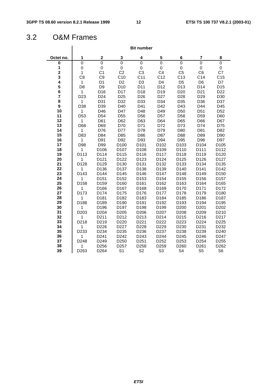### 3.2 O&M Frames

|                         |                     |                  |                  | <b>Bit number</b> |                  |                  |                  |                  |
|-------------------------|---------------------|------------------|------------------|-------------------|------------------|------------------|------------------|------------------|
| Octet no.               | 1                   | $\mathbf{2}$     | 3                | 4                 | 5                | 6                | 7                | 8                |
| 0                       | 0                   | $\mathbf 0$      | $\mathsf 0$      | 0                 | $\overline{0}$   | 0                | 0                | $\mathbf 0$      |
| 1                       | 0                   | 0                | 0                | 0                 | 0                | 0                | 0                | 0                |
| $\mathbf 2$             | $\mathbf{1}$        | C <sub>1</sub>   | C <sub>2</sub>   | C <sub>3</sub>    | C <sub>4</sub>   | C <sub>5</sub>   | C <sub>6</sub>   | C7               |
| 3                       | C <sub>8</sub>      | C <sub>9</sub>   | C10              | C <sub>11</sub>   | C12              | C13              | C14              | C <sub>15</sub>  |
| 4                       | $\mathbf{1}$        | D1               | D <sub>2</sub>   | D <sub>3</sub>    | D <sub>4</sub>   | D <sub>5</sub>   | D <sub>6</sub>   | D7               |
| 5                       | D <sub>8</sub>      | D <sub>9</sub>   | D <sub>10</sub>  | D11               | D12              | D <sub>13</sub>  | D <sub>14</sub>  | D <sub>15</sub>  |
| 6                       | $\mathbf{1}$        | D <sub>16</sub>  | D <sub>17</sub>  | D <sub>18</sub>   | D <sub>19</sub>  | D <sub>20</sub>  | D <sub>21</sub>  | D <sub>22</sub>  |
| $\overline{\mathbf{r}}$ | D <sub>23</sub>     | D <sub>24</sub>  | D <sub>25</sub>  | D <sub>26</sub>   | D <sub>27</sub>  | D <sub>28</sub>  | D <sub>29</sub>  | D30              |
| 8                       | $\mathbf{1}$        | D31              | D32              | D33               | D34              | D35              | D36              | D37              |
| 9                       | D38                 | D39              | D40              | D41               | D42              | D43              | D44              | D45              |
| 10                      | 1                   | D46              | D47              | D48               | D49              | D <sub>50</sub>  | D <sub>51</sub>  | D <sub>52</sub>  |
| 11                      | D <sub>53</sub>     | D <sub>54</sub>  | D <sub>55</sub>  | D <sub>56</sub>   | D <sub>57</sub>  | D <sub>58</sub>  | D <sub>59</sub>  | D60              |
| 12                      | $\mathbf{1}$        | D61              | D62              | D63               | D64              | D65              | D66              | D67              |
| 13<br>14                | D68                 | D69              | D70              | D71               | D72              | D73              | D74              | D75              |
| 15                      | 1                   | D76<br>D84       | D77<br>D85       | D78<br>D86        | D79<br>D87       | D80<br>D88       | D81<br>D89       | D82              |
| 16                      | D83<br>$\mathbf{1}$ | D91              | D92              | D93               | D94              | D95              | D96              | D90<br>D97       |
| 17                      | D98                 | D99              | D <sub>100</sub> | D <sub>101</sub>  | D <sub>102</sub> | D <sub>103</sub> | D104             | D <sub>105</sub> |
| 18                      | 1                   | D <sub>106</sub> | D <sub>107</sub> | D <sub>108</sub>  | D <sub>109</sub> | D110             | D111             | D112             |
| 19                      | D113                | D114             | D115             | D116              | D117             | D118             | D119             | D120             |
| 20                      | 1                   | D121             | D122             | D123              | D124             | D125             | D126             | D127             |
| 21                      | D128                | D129             | D130             | D131              | D132             | D133             | D134             | D135             |
| 22                      | 1                   | D136             | D137             | D138              | D139             | D140             | D141             | D142             |
| 23                      | D <sub>143</sub>    | D144             | D145             | D146              | D147             | D148             | D149             | D150             |
| 24                      | 1                   | D151             | D152             | D <sub>153</sub>  | D <sub>154</sub> | D <sub>155</sub> | D156             | D157             |
| 25                      | D <sub>158</sub>    | D <sub>159</sub> | D <sub>160</sub> | D <sub>161</sub>  | D <sub>162</sub> | D <sub>163</sub> | D <sub>164</sub> | D <sub>165</sub> |
| 26                      | 1                   | D166             | D167             | D168              | D169             | D170             | D171             | D172             |
| 27                      | D173                | D174             | D175             | D176              | D177             | D178             | D179             | D180             |
| 28                      | 1                   | D181             | D182             | D183              | D184             | D185             | D186             | D187             |
| 29                      | D188                | D189             | D <sub>190</sub> | D191              | D <sub>192</sub> | D193             | D194             | D195             |
| 30                      | 1                   | D196             | D197             | D198              | D199             | D <sub>200</sub> | D <sub>201</sub> | D <sub>202</sub> |
| 31                      | D <sub>203</sub>    | D204             | D205             | D206              | D207             | D208             | D209             | D210             |
| 32                      | 1                   | D211             | D212             | D213              | D214             | D215             | D216             | D217             |
| 33                      | D218                | D219             | D220             | D221              | D222             | D223             | D <sub>224</sub> | D225             |
| 34                      | 1                   | D226             | D227             | D228              | D229             | D230             | D231             | D232             |
| 35                      | D <sub>233</sub>    | D234             | D235             | D236              | D237             | D238             | D239             | D240             |
| 36                      | 1                   | D241             | D242             | D243              | D244             | D245             | D246             | D247             |
| 37                      | D248                | D249             | D250             | D251              | D252             | D253             | D <sub>254</sub> | D255             |
| 38                      | 1                   | D256             | D257             | D258              | D259             | D260             | D261             | D262             |
| 39                      | D <sub>263</sub>    | D <sub>264</sub> | S <sub>1</sub>   | S <sub>2</sub>    | S <sub>3</sub>   | S <sub>4</sub>   | S <sub>5</sub>   | S <sub>6</sub>   |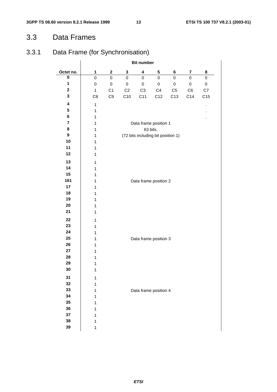### 3.3 Data Frames

### 3.3.1 Data Frame (for Synchronisation)

|                  | <b>Bit number</b> |                |                |                |                                    |                 |                         |             |
|------------------|-------------------|----------------|----------------|----------------|------------------------------------|-----------------|-------------------------|-------------|
| Octet no.        | 1                 | $\mathbf 2$    | 3              | 4              | 5                                  | 6               | $\overline{\mathbf{r}}$ | 8           |
| $\pmb{0}$        | $\mathbf 0$       | 0              | $\pmb{0}$      | 0              | $\pmb{0}$                          | $\pmb{0}$       | $\mathsf 0$             | $\mathsf 0$ |
| 1                | $\mathsf 0$       | $\pmb{0}$      | $\pmb{0}$      | $\mathsf 0$    | $\mathbf 0$                        | $\pmb{0}$       | $\pmb{0}$               | $\pmb{0}$   |
| $\mathbf 2$      | $\mathbf 1$       | C <sub>1</sub> | C <sub>2</sub> | C <sub>3</sub> | C4                                 | C <sub>5</sub>  | C6                      | ${\rm C}7$  |
| 3                | C8                | C9             | C10            | C11            | C12                                | C <sub>13</sub> | C14                     | C15         |
| 4                | $\mathbf 1$       |                |                |                |                                    |                 |                         | $\cdot$     |
| 5                | $\mathbf 1$       |                |                |                |                                    |                 |                         |             |
| 6                | $\mathbf 1$       |                |                |                |                                    |                 |                         |             |
| $\bf 7$          | $\mathbf 1$       |                |                |                | Data frame position 1              |                 |                         |             |
| 8                | $\mathbf 1$       |                |                |                | 63 bits.                           |                 |                         |             |
| $\boldsymbol{9}$ | $\mathbf 1$       |                |                |                | (72 bits including bit position 1) |                 |                         |             |
| 10               | $\mathbf 1$       |                |                |                |                                    |                 |                         |             |
| 11               | $\mathbf 1$       |                |                |                |                                    |                 |                         |             |
| 12               | $\mathbf 1$       |                |                |                |                                    |                 |                         |             |
| 13               | $\mathbf 1$       |                |                |                |                                    |                 |                         |             |
| 14               | $\mathbf 1$       |                |                |                |                                    |                 |                         |             |
| 15               | $\mathbf{1}$      |                |                |                |                                    |                 |                         |             |
| 161              | 1                 |                |                |                | Data frame position 2              |                 |                         |             |
| 17               | 1                 |                |                |                |                                    |                 |                         |             |
| 18               | $\mathbf 1$       |                |                |                |                                    |                 |                         |             |
| 19               | $\mathbf 1$       |                |                |                |                                    |                 |                         |             |
| 20               | $\mathbf{1}$      |                |                |                |                                    |                 |                         |             |
| 21               | $\mathbf 1$       |                |                |                |                                    |                 |                         |             |
| 22               | $\mathbf 1$       |                |                |                |                                    |                 |                         |             |
| 23               | 1                 |                |                |                |                                    |                 |                         |             |
| 24               | $\mathbf 1$       |                |                |                |                                    |                 |                         |             |
| 25               | $\mathbf{1}$      |                |                |                | Data frame position 3              |                 |                         |             |
| 26               | $\mathbf 1$       |                |                |                |                                    |                 |                         |             |
| 27               | $\mathbf 1$       |                |                |                |                                    |                 |                         |             |
| 28               | $\mathbf 1$       |                |                |                |                                    |                 |                         |             |
| 29               | $\mathbf{1}$      |                |                |                |                                    |                 |                         |             |
| 30               | 1                 |                |                |                |                                    |                 |                         |             |
| 31               | 1                 |                |                |                |                                    |                 |                         |             |
| 32               | 1                 |                |                |                |                                    |                 |                         |             |
| 33               | 1                 |                |                |                | Data frame position 4              |                 |                         |             |
| 34               | 1                 |                |                |                |                                    |                 |                         |             |
| 35               | 1                 |                |                |                |                                    |                 |                         |             |
| 36               | 1                 |                |                |                |                                    |                 |                         |             |
| 37               | 1                 |                |                |                |                                    |                 |                         |             |
| 38               | $\mathbf 1$       |                |                |                |                                    |                 |                         |             |
| 39               | $\mathbf 1$       |                |                |                |                                    |                 |                         |             |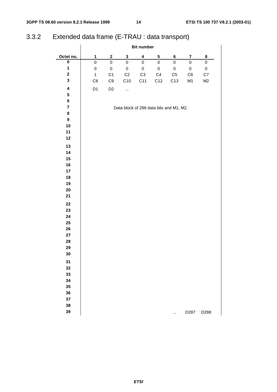### 3.3.2 Extended data frame (E-TRAU : data transport)

|                         | <b>Bit number</b> |                |                                         |                         |               |             |                         |             |
|-------------------------|-------------------|----------------|-----------------------------------------|-------------------------|---------------|-------------|-------------------------|-------------|
| Octet no.               | $\mathbf{1}$      | $\mathbf{2}$   | $\mathbf 3$                             | $\overline{\mathbf{4}}$ | 5             | 6           | $\overline{\mathbf{7}}$ | 8           |
| $\overline{\mathbf{0}}$ | $\mathsf 0$       | $\mathsf 0$    | $\mathsf 0$                             | $\pmb{0}$               | 0             | $\mathsf 0$ | $\mathsf 0$             | $\mathbf 0$ |
| $\mathbf{1}$            | $\mathsf 0$       | $\pmb{0}$      | $\mathbf 0$                             | $\pmb{0}$               | $\mathbf 0$   | $\mathsf 0$ | $\pmb{0}$               | $\pmb{0}$   |
| $\mathbf 2$             | $\mathbf{1}$      | C <sub>1</sub> | C2                                      | $\mbox{C3}$             | $\mathbb{C}4$ | ${\sf C}5$  | C6                      | C7          |
| $\mathbf 3$             | C <sub>8</sub>    | $\mathbb{C}9$  | C10                                     | C11                     | C12           | C13         | M1                      | M2          |
| $\overline{\mathbf{4}}$ | D1                | D <sub>2</sub> |                                         |                         |               |             |                         |             |
| 5                       |                   |                |                                         |                         |               |             |                         |             |
| 6                       |                   |                |                                         |                         |               |             |                         |             |
| $\overline{\mathbf{7}}$ |                   |                | Data block of 288 data bits and M1, M2. |                         |               |             |                         |             |
| 8                       |                   |                |                                         |                         |               |             |                         |             |
| $\boldsymbol{9}$        |                   |                |                                         |                         |               |             |                         |             |
| 10                      |                   |                |                                         |                         |               |             |                         |             |
| 11                      |                   |                |                                         |                         |               |             |                         |             |
| 12                      |                   |                |                                         |                         |               |             |                         |             |
| 13                      |                   |                |                                         |                         |               |             |                         |             |
| 14                      |                   |                |                                         |                         |               |             |                         |             |
| $15\phantom{.0}$        |                   |                |                                         |                         |               |             |                         |             |
| 16                      |                   |                |                                         |                         |               |             |                         |             |
| 17                      |                   |                |                                         |                         |               |             |                         |             |
| 18                      |                   |                |                                         |                         |               |             |                         |             |
| 19                      |                   |                |                                         |                         |               |             |                         |             |
| 20                      |                   |                |                                         |                         |               |             |                         |             |
| 21                      |                   |                |                                         |                         |               |             |                         |             |
| 22                      |                   |                |                                         |                         |               |             |                         |             |
| 23                      |                   |                |                                         |                         |               |             |                         |             |
| 24                      |                   |                |                                         |                         |               |             |                         |             |
| $25\,$                  |                   |                |                                         |                         |               |             |                         |             |
| 26                      |                   |                |                                         |                         |               |             |                         |             |
| 27                      |                   |                |                                         |                         |               |             |                         |             |
| 28                      |                   |                |                                         |                         |               |             |                         |             |
| 29                      |                   |                |                                         |                         |               |             |                         |             |
| 30                      |                   |                |                                         |                         |               |             |                         |             |
| 31                      |                   |                |                                         |                         |               |             |                         |             |
| 32                      |                   |                |                                         |                         |               |             |                         |             |
| 33                      |                   |                |                                         |                         |               |             |                         |             |
| 34                      |                   |                |                                         |                         |               |             |                         |             |
| 35                      |                   |                |                                         |                         |               |             |                         |             |
| 36                      |                   |                |                                         |                         |               |             |                         |             |
| 37                      |                   |                |                                         |                         |               |             |                         |             |
| 38                      |                   |                |                                         |                         |               |             |                         |             |
| 39                      |                   |                |                                         |                         |               | $\cdots$    | D287                    | D288        |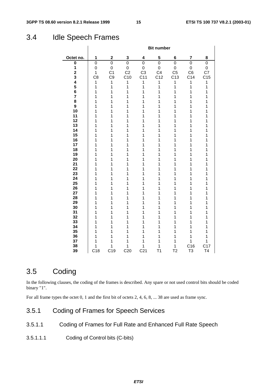### 3.4 Idle Speech Frames

|                         |                |                 |                 |                 | <b>Bit number</b> |                |                 |                 |
|-------------------------|----------------|-----------------|-----------------|-----------------|-------------------|----------------|-----------------|-----------------|
| Octet no.               | 1              | $\mathbf 2$     | 3               | 4               | 5                 | 6              | 7               | 8               |
| $\pmb{0}$               | 0              | 0               | 0               | 0               | 0                 | $\mathbf 0$    | 0               | 0               |
| 1                       | 0              | $\mathbf 0$     | 0               | 0               | $\mathsf 0$       | $\mathsf 0$    | $\mathbf 0$     | 0               |
| $\overline{\mathbf{2}}$ | 1              | C <sub>1</sub>  | C <sub>2</sub>  | C <sub>3</sub>  | C <sub>4</sub>    | C <sub>5</sub> | C <sub>6</sub>  | C7              |
| 3                       | C <sub>8</sub> | C <sub>9</sub>  | C10             | C <sub>11</sub> | C12               | C13            | C <sub>14</sub> | C <sub>15</sub> |
| 4                       | 1              | 1               | 1               | 1               | $\overline{1}$    | $\mathbf{1}$   | $\mathbf{1}$    | 1               |
| 5                       | 1              | $\mathbf{1}$    | 1               | $\mathbf{1}$    | 1                 | $\mathbf{1}$   | 1               | 1               |
| 6                       | 1              | 1               | 1               | 1               | 1                 | 1              | 1               | 1               |
| $\overline{7}$          | 1              | 1               | 1               | 1               | 1                 | 1              | 1               | $\mathbf 1$     |
| 8                       | 1              | 1               | 1               | 1               | 1                 | 1              | 1               | 1               |
| 9                       | 1              | 1               | 1               | 1               | 1                 | 1              | 1               | 1               |
| 10                      | 1              | 1               | 1               | 1               | 1                 | 1              | 1               | 1               |
| 11                      | 1              | 1               | 1               | 1               | 1                 | 1              | 1               | 1               |
| 12                      | 1              | 1               | 1               | 1               | 1                 | 1              | 1               | 1               |
| 13                      | 1              | 1               | 1               | 1               | 1                 | 1              | 1               | 1               |
| 14                      | 1              | 1               | 1               | 1               | 1                 | 1              | 1               | 1               |
| 15                      | 1              | 1               | 1               | 1               | 1                 | 1              | 1               | 1               |
| 16                      | 1              | 1               | 1               | 1               | 1                 | 1              | 1               | $\mathbf 1$     |
| 17                      | 1              | 1               | 1               | 1               | 1                 | 1              | 1               | 1               |
| 18                      | 1              | 1               | 1               | 1               | 1                 | 1              | 1               | 1               |
| 19                      | 1              | 1               | 1               | 1               | 1                 | 1              | $\mathbf{1}$    | $\mathbf 1$     |
| 20                      | 1              | 1               | 1               | 1               | 1                 | 1              | 1               | 1               |
| 21<br>22                | 1              | 1               | 1               | 1               | 1<br>1            | 1              | 1               | 1               |
| 23                      | 1<br>1         | 1<br>1          | 1<br>1          | 1<br>1          | 1                 | 1<br>1         | 1<br>1          | 1<br>1          |
| 24                      | 1              | 1               | 1               | 1               | 1                 | 1              | 1               | 1               |
| 25                      | 1              | 1               | 1               | 1               | 1                 | 1              | 1               | 1               |
| 26                      | 1              | 1               | 1               | 1               | 1                 | 1              | 1               | 1               |
| 27                      | 1              | 1               | 1               | 1               | 1                 | 1              | 1               | 1               |
| 28                      | 1              | 1               | 1               | 1               | 1                 | 1              | 1               | $\mathbf 1$     |
| 29                      | 1              | 1               | 1               | 1               | 1                 | 1              | 1               | 1               |
| 30                      | 1              | 1               | 1               | 1               | 1                 | 1              | 1               | 1               |
| 31                      | 1              | 1               | 1               | 1               | 1                 | 1              | 1               | $\mathbf 1$     |
| 32                      | 1              | 1               | 1               | 1               | 1                 | 1              | 1               | $\mathbf 1$     |
| 33                      | 1              | 1               | 1               | 1               | 1                 | 1              | 1               | 1               |
| 34                      | 1              | 1               | 1               | 1               | 1                 | 1              | 1               | 1               |
| 35                      | 1              | 1               | 1               | 1               | 1                 | 1              | $\mathbf{1}$    | 1               |
| 36                      | 1              | 1               | 1               | 1               | 1                 | 1              | 1               | 1               |
| 37                      | 1              | 1               | 1               | 1               | 1                 | 1              | $\mathbf{1}$    | 1               |
| 38                      | 1              | 1               | 1               | 1               | 1                 | 1              | C16             | C17             |
| 39                      | C18            | C <sub>19</sub> | C <sub>20</sub> | C <sub>21</sub> | T <sub>1</sub>    | T <sub>2</sub> | T <sub>3</sub>  | T <sub>4</sub>  |

### 3.5 Coding

In the following clauses, the coding of the frames is described. Any spare or not used control bits should be coded binary "1".

For all frame types the octet 0, 1 and the first bit of octets 2, 4, 6, 8, ... 38 are used as frame sync.

### 3.5.1 Coding of Frames for Speech Services

### 3.5.1.1 Coding of Frames for Full Rate and Enhanced Full Rate Speech

3.5.1.1.1 Coding of Control bits (C-bits)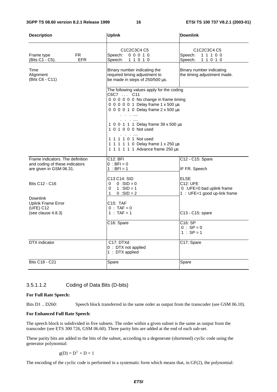| <b>Description</b>                                                                            | <b>Uplink</b>                                                                                                                                                                                                                                                                                                                                     | <b>Downlink</b>                                                                              |
|-----------------------------------------------------------------------------------------------|---------------------------------------------------------------------------------------------------------------------------------------------------------------------------------------------------------------------------------------------------------------------------------------------------------------------------------------------------|----------------------------------------------------------------------------------------------|
| FR.<br>Frame type<br><b>EFR</b><br>(Bits C1 - C5).                                            | C <sub>1</sub> C <sub>2</sub> C <sub>3</sub> C <sub>4</sub> C <sub>5</sub><br>Speech:<br>00010.<br>Speech: 1 1 0 1 0                                                                                                                                                                                                                              | C1C2C3C4 C5<br>Speech:<br>11100<br>Speech:<br>11010                                          |
| Time<br>Alignment<br>(Bits C6 - C11)                                                          | Binary number indicating the<br>required timing adjustment to<br>be made in steps of 250/500 µs.                                                                                                                                                                                                                                                  | Binary number indicating<br>the timing adjustment made.                                      |
|                                                                                               | The following values apply for the coding<br>C6C7  C11<br>0 0 0 0 0 0 No change in frame timing<br>0 0 0 0 0 1 Delay frame 1 x 500 µs<br>0 0 0 0 1 0 Delay frame 2 x 500 µs<br>1 0 0 1 1 1 Delay frame 39 x 500 µs<br>1 0 1 0 0 0 Not used<br>.<br>1 1 1 1 0 1 Not used<br>1 1 1 1 1 0 Delay frame 1 x 250 µs<br>1 1 1 1 1 1 Advance frame 250 µs |                                                                                              |
| Frame indicators. The definition<br>and coding of these indicators<br>are given in GSM 06.31. | $C12:$ BFI<br>$0 : BFI = 0$<br>$1 : BFI = 1$                                                                                                                                                                                                                                                                                                      | C12 - C15: Spare<br>IF FR. Speech                                                            |
| <b>Bits C12 - C16</b><br><b>Downlink</b>                                                      | C13 C14: SID<br>$0 \quad 0 : SID = 0$<br>$0 \t1 : SID = 1$<br>$1 \quad$<br>$0 : SID = 2$                                                                                                                                                                                                                                                          | <b>ELSE</b><br><b>C12: UFE</b><br>0 : UFE=0 bad uplink frame<br>1 : UFE=1 good up-link frame |
| <b>Uplink Frame Error</b><br>(UEE) C12<br>(see clause 4.8.3)                                  | C15: TAF<br>$0 : TAF = 0$<br>1 : $TAF = 1$                                                                                                                                                                                                                                                                                                        | C13 - C15: spare                                                                             |
|                                                                                               | C16: Spare                                                                                                                                                                                                                                                                                                                                        | C16: SP<br>$0 : SP = 0$<br>$1 : SP = 1$                                                      |
| DTX indicator                                                                                 | C17: DTXd<br>0 : DTX not applied<br>1 : DTX applied                                                                                                                                                                                                                                                                                               | C17: Spare                                                                                   |
| <b>Bits C18 - C21</b>                                                                         | Spare                                                                                                                                                                                                                                                                                                                                             | Spare                                                                                        |

#### 3.5.1.1.2 Coding of Data Bits (D-bits)

#### **For Full Rate Speech:**

Bits D1 .. D260: Speech block transferred in the same order as output from the transcoder (see GSM 06.10).

#### **For Enhanced Full Rate Speech**:

The speech block is subdivided in five subsets. The order within a given subset is the same as output from the transcoder (see ETS 300 726, GSM 06.60). Three parity bits are added at the end of each sub-set.

These parity bits are added to the bits of the subset, according to a degenerate (shortened) cyclic code using the generator polynomial:

$$
g(D) = D3 + D + 1
$$

The encoding of the cyclic code is performed in a systematic form which means that, in GF(2), the polynomial: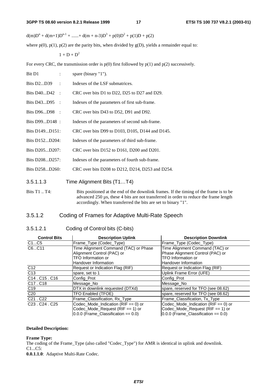$d(m)D^{n} + d(m+1)D^{n-1} + \dots + d(m+n-3)D^{3} + p(0)D^{2} + p(1)D + p(2)$ 

where  $p(0)$ ,  $p(1)$ ,  $p(2)$  are the parity bits, when divided by  $g(D)$ , yields a remainder equal to:

$$
1 + D + D^2
$$

For every CRC, the transmission order is  $p(0)$  first followed by  $p(1)$  and  $p(2)$  successively.

| Bit D1                  | spare (binary "1").                                                                                                                                                                                                                                    |
|-------------------------|--------------------------------------------------------------------------------------------------------------------------------------------------------------------------------------------------------------------------------------------------------|
| Bits D2D39              | Indexes of the LSF submatrices.                                                                                                                                                                                                                        |
| Bits D40D42<br>$\sim$ : | CRC over bits D1 to D22, D25 to D27 and D29.                                                                                                                                                                                                           |
| Bits D43D95<br>$\sim$ : | Indexes of the parameters of first sub-frame.                                                                                                                                                                                                          |
| Bits D96D98 :           | CRC over bits D43 to D52, D91 and D92.                                                                                                                                                                                                                 |
| Bits D99D148 :          | Indexes of the parameters of second sub-frame.                                                                                                                                                                                                         |
| Bits D149D151:          | CRC over bits D99 to D103, D105, D144 and D145.                                                                                                                                                                                                        |
| Bits D152D204:          | Indexes of the parameters of third sub-frame.                                                                                                                                                                                                          |
| Bits D205D207:          | CRC over bits D152 to D161, D200 and D201.                                                                                                                                                                                                             |
| Bits D208D257:          | Indexes of the parameters of fourth sub-frame.                                                                                                                                                                                                         |
| Bits D258D260:          | CRC over bits D208 to D212, D214, D253 and D254.                                                                                                                                                                                                       |
| 3.5.1.1.3               | Time Alignment Bits (T1T4)                                                                                                                                                                                                                             |
| Bits T1  T4:            | Bits positioned at the end of the downlink frames. If the timing of the frame is to be<br>advanced $250 \mu s$ , these 4 bits are not transferred in order to reduce the frame length<br>accordingly. When transferred the bits are set to binary "1". |

### 3.5.1.2 Coding of Frames for Adaptive Multi-Rate Speech

#### 3.5.1.2.1 Coding of Control bits (C-bits)

| <b>Control Bits</b>                                 | <b>Description Uplink</b>                | <b>Description Downlink</b>               |
|-----------------------------------------------------|------------------------------------------|-------------------------------------------|
| C1C5                                                | Frame_Type (Codec_Type)                  | Frame_Type (Codec_Type)                   |
| C6C11                                               | Time Alignment Command (TAC) or Phase    | Time Alignment Command (TAC) or           |
|                                                     | Alignment Control (PAC) or               | Phase Alignment Control (PAC) or          |
|                                                     | <b>TFO Information or</b>                | <b>TFO</b> Information or                 |
|                                                     | Handover Information                     | Handover Information                      |
| C12                                                 | Request or Indication Flag (RIF)         | Request or Indication Flag (RIF)          |
| C <sub>13</sub>                                     | spare, set to 1                          | Uplink Frame Error (UFE)                  |
| C <sub>14</sub> . C <sub>15</sub> . C <sub>16</sub> | Config_Prot                              | Config_Prot                               |
| C17, C18                                            | Message No                               | Message No                                |
| C <sub>19</sub>                                     | DTX in downlink requested (DTXd)         | spare, reserved for TFO (see 08.62)       |
| C <sub>20</sub>                                     | TFO Enabled (TFOE)                       | spare, reserved for TFO (see 08.62)       |
| C <sub>21</sub> C <sub>22</sub>                     | Frame Classification, Rx Type            | Frame Classification, Tx Type             |
| C <sub>23</sub> C <sub>24</sub> C <sub>25</sub>     | Codec Mode Indication ( $RIF == 0$ ) or  | Codec Mode Indication ( $RIF == 0$ ) or   |
|                                                     | Codec_Mode_Request ( $RIF == 1$ ) or     | Codec Mode Request ( $RIF == 1$ ) or      |
|                                                     | $0.0.0$ (Frame_Classification == $0.0$ ) | $[0.0.0$ (Frame_Classification == $0.0$ ) |

#### **Detailed Description:**

#### **Frame Type:**

The coding of the Frame\_Type (also called "Codec\_Type") for AMR is identical in uplink and downlink. C1...C5:

**0.0.1.1.0**: Adaptive Multi-Rate Codec.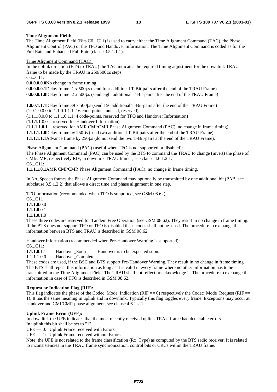#### **Time Alignment Field:**

The Time Alignment Field (Bits C6...C11) is used to carry either the Time Alignment Command (TAC), the Phase Alignment Control (PAC) or the TFO and Handover Information. The Time Alignment Command is coded as for the Full Rate and Enhanced Full Rate (clause 3.5.1.1.1).

Time Alignment Command (TAC):

In the uplink direction (BTS to TRAU) the TAC indicates the required timing adjustment for the downlink TRAU frame to be made by the TRAU in 250/500µs steps.

C6...C11:

**0.0.0.0.0.0** No change in frame timing

**0.0.0.0.0.1** Delay frame 1 x 500µs (send four additional T-Bit-pairs after the end of the TRAU Frame)

**0.0.0.0.1.0** Delay frame 2 x 500µs (send eight additional T-Bit-pairs after the end of the TRAU Frame)

…

**1.0.0.1.1.1** Delay frame 39 x 500µs (send 156 additional T-Bit-pairs after the end of the TRAU Frame)

(1.0.1.0.0.0 to 1.1.0.1.1.1: 16 code-points, unused, reserved)

(1.1.1.0.0.0 to 1.1.1.0.1.1: 4 code-points, reserved for TFO and Handover Information)

(**1.1.1.1**.0.0 reserved for Handover Information)

(**1.1.1.1.0.1** reserved for AMR CMI/CMR Phase Alignment Command (PAC), no change in frame timing)

**1.1.1.1.1.0** Delay frame by 250µs (send two additional T-Bit-pairs after the end of the TRAU Frame)

**1.1.1.1.1.1** Advance frame by 250µs (do not send the two T-Bit-pairs at the end of the TRAU Frame).

Phase Alignment Command (PAC) (useful when TFO is not supported or disabled):

The Phase Alignment Command (PAC) can be used by the BTS to command the TRAU to change (invert) the phase of CMI/CMR, respectively RIF, in downlink TRAU frames, see clause 4.6.1.2.1.

C6...C11:

**1.1.1.1.0.1** AMR CMI/CMR Phase Alignment Command (PAC), no change in frame timing.

In No\_Speech frames the Phase Alignment Command may optionally be transmitted by one additional bit (PAB, see subclause 3.5.1.2.2) that allows a direct time and phase alignment in one step.

TFO Information (recommended when TFO is supported, see GSM 08.62):

C6...C11

**1.1.1.0**.0.0

**1.1.1.0**.0.1

**1.1.1.0**.1.0

These three codes are reserved for Tandem Free Operation (see GSM 08.62). They result in no change in frame timing. If the BTS does not support TFO or TFO is disabled these codes shall not be used. The procedure to exchange this information between BTS and TRAU is described in GSM 08.62.

Handover Information (recommended when Pre-Handover Warning is supported):

C6...C11:

**1.1.1.0**.1.1 Handover\_Soon Handover is to be expected soon.

1.1.1.1.0.0 Handover\_Complete

These codes are used, if the BSC and BTS support Pre-Handover Warning. They result in no change in frame timing. The BTS shall repeat this information as long as it is valid in every frame where no other information has to be

transmitted in the Time Alignment Field. The TRAU shall not reflect or acknowledge it. The procedure to exchange this information in case of TFO is described in GSM 08.62.

#### **Request or Indication Flag (RIF):**

This flag indicates the phase of the Codec\_Mode\_Indication (RIF  $=$  0) respectively the Codec\_Mode\_Request (RIF  $=$ 1). It has the same meaning in uplink and in downlink. Typically this flag toggles every frame. Exceptions may occur at handover and CMI/CMR phase alignment, see clause 4.6.1.2.1.

#### **Uplink Frame Error (UFE):**

In downlink the UFE indicates that the most recently received uplink TRAU frame had detectable errors.

In uplink this bit shall be set to "1".

 $UFE = 0$ : "Uplink Frame received with Errors";

 $UFE == 1:$  "Uplink Frame received without Errors".

Note: the UFE is not related to the frame classification (Rx\_Type) as computed by the BTS radio receiver. It is related to inconsistencies in the TRAU frame synchronization, control bits or CRCs within the TRAU frame.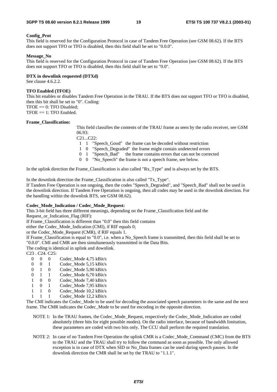#### **Config\_Prot**

This field is reserved for the Configuration Protocol in case of Tandem Free Operation (see GSM 08.62). If the BTS does not support TFO or TFO is disabled, then this field shall be set to "0.0.0".

#### **Message\_No**

This field is reserved for the Configuration Protocol in case of Tandem Free Operation (see GSM 08.62). If the BTS does not support TFO or TFO is disabled, then this field shall be set to "0.0".

#### **DTX in downlink requested (DTXd)**

See clause 4.6.2.2.

#### **TFO Enabled (TFOE)**

This bit enables or disables Tandem Free Operation in the TRAU. If the BTS does not support TFO or TFO is disabled, then this bit shall be set to "0". Coding:

 $TFOE == 0$ :  $TFO$  Disabled;

 $TFOE == 1$ : TFO Enabled.

#### **Frame\_Classification:**

This field classifies the contents of the TRAU frame as seen by the radio receiver, see GSM 06.93:

C21...C22:

1 1 "Speech\_Good" the frame can be decoded without restriction

1 0 "Speech\_Degraded" the frame might contain undetected errors

- 0 1 "Speech\_Bad" the frame contains errors that can not be corrected
- 0 0 "No\_Speech" the frame is not a speech frame, see below.

In the uplink direction the Frame\_Classification is also called "Rx\_Type" and is always set by the BTS.

In the downlink direction the Frame\_Classification is also called "Tx\_Type".

If Tandem Free Operation is not ongoing, then the codes "Speech\_Degraded", and "Speech\_Bad" shall not be used in the downlink direction. If Tandem Free Operation is ongoing, then all codes may be used in the downlink direction. For the handling within the downlink BTS, see GSM 08.62).

#### **Codec\_Mode\_Indication / Codec\_Mode\_Request:**

This 3-bit field has three different meanings, depending on the Frame\_Classification field and the

Request\_or\_Indication\_Flag (RIF):

If Frame\_Classification is different than "0.0" then this field contains

either the Codec\_Mode\_Indication (CMI), if RIF equals 0;

or the Codec\_Mode\_Request (CMR), if RIF equals 1.

If Frame\_Classification is equal to "0.0", i.e. when a No\_Speech frame is transmitted, then this field shall be set to "0.0.0". CMI and CMR are then simultaneously transmitted in the Data Bits.

The coding is identical in uplink and downlink.

C23 . C24. C25:

- 0 0 0 Codec Mode 4,75 kBit/s
- 0 0 1 Codec Mode 5.15 kBit/s
- 0 1 0 Codec Mode 5,90 kBit/s
- 0 1 1 Codec\_Mode 6,70 kBit/s
- 1 0 0 Codec\_Mode 7,40 kBit/s
- 1 0 1 Codec\_Mode 7,95 kBit/s
- 1 1 0 Codec\_Mode 10,2 kBit/s
- 1 1 1 Codec\_Mode 12,2 kBit/s

The CMI indicates the Codec\_Mode to be used for decoding the associated speech parameters in the same and the next frame. The CMR indicates the Codec\_Mode to be used for encoding in the opposite direction.

- NOTE 1: In the TRAU frames, the Codec\_Mode\_Request, respectively the Codec\_Mode\_Indication are coded absolutely (three bits for eight possible modes). On the radio interface, because of bandwidth limitation, these parameters are coded with two bits only. The CCU shall perform the required translation.
- NOTE 2: In case of no Tandem Free Operation the uplink CMR is a Codec\_Mode\_Command (CMC) from the BTS to the TRAU and the TRAU shall try to follow the command as soon as possible. The only allowed exception is in case of DTX when SID or No\_Data frames can be used during speech pauses. In the downlink direction the CMR shall be set by the TRAU to "1.1.1".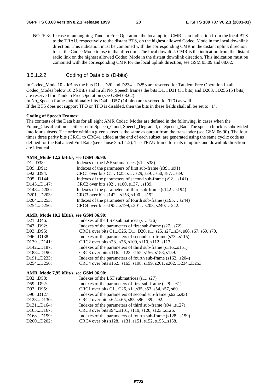NOTE 3: In case of an ongoing Tandem Free Operation, the local uplink CMR is an indication from the local BTS to the TRAU, respectively to the distant BTS, on the highest allowed Codec\_Mode in the local downlink direction. This indication must be combined with the corresponding CMR in the distant uplink direction to set the Codec Mode to use in that direction. The local downlink CMR is the indication from the distant radio link on the highest allowed Codec\_Mode in the distant downlink direction. This indication must be combined with the corresponding CMR for the local uplink direction, see GSM 05.09 and 08.62.

#### 3.5.1.2.2 Coding of Data bits (D-bits)

In Codec\_Mode 10.2 kBit/s the bits  $D1...D20$  and  $D234...D253$  are reserved for Tandem Free Operation In all Codec\_Modes below 10.2 kBit/s and in all No\_Speech frames the bits D1…D31 (31 bits) and D203…D256 (54 bits) are reserved for Tandem Free Operation (see GSM 08.62).

In No. Speech frames additionally bits D44…D57 (14 bits) are reserved for TFO as well. If the BTS does not support TFO or TFO is disabled, then the bits in these fields shall all be set to "1".

#### **Coding of Speech Frames:**

The contents of the Data bits for all eight AMR Codec\_Modes are defined in the following, in cases when the Frame\_Classification is either set to Speech\_Good, Speech\_Degraded, or Speech\_Bad. The speech block is subdivided into four subsets. The order within a given subset is the same as output from the transcoder (see GSM 06.90). The four times three parity bits (CRC1 to CRC4), added at the end of each subset, are generated using the same cyclic code as defined for the Enhanced Full Rate (see clause 3.5.1.1.2). The TRAU frame formats in uplink and downlink direction are identical.

#### **AMR\_Mode 12,2 kBit/s, see GSM 06.90:**

| D1D38:                              | Indexes of the LSF submatrices (s1s38)                   |
|-------------------------------------|----------------------------------------------------------|
| D39D91:                             | Indexes of the parameters of first sub-frame (s39s91)    |
| D92D94:                             | CRC1 over bits C1C25, s1s29, s39s50, s87s89.             |
| D95D144:                            | Indexes of the parameters of second sub-frame (s92s141)  |
| D145D147:                           | CRC2 over bits s92s100, s137s139.                        |
| D <sub>148</sub> D <sub>200</sub> : | Indexes of the parameters of third sub-frame (s142s194)  |
| D201D203:                           | CRC3 over bits s142s153, s190s192.                       |
| D204D253:                           | Indexes of the parameters of fourth sub-frame (s195s244) |
| D254D256:                           | CRC4 over bits s195s199, s201s203, s240s242.             |
|                                     |                                                          |

#### **AMR\_Mode 10,2 kBit/s, see GSM 06.90:**

| D21D46:                             | Indexes of the LSF submatrices $(s1s26)$                        |
|-------------------------------------|-----------------------------------------------------------------|
| D47D92:                             | Indexes of the parameters of first sub-frame (s27s72)           |
| D93D95:                             | CRC1 over bits C1C25, D1D20, s1s25, s27s34, s66, s67, s69, s70. |
| D96D138:                            | Indexes of the parameters of second sub-frame (s73s115)         |
| D139D141:                           | CRC2 over bits s73s76, s109, s110, s112, s113.                  |
| D <sub>142</sub> D <sub>187</sub> : | Indexes of the parameters of third sub-frame (s116s161)         |
| D <sub>188</sub> D <sub>190</sub> : | CRC3 over bits s116s123, s155, s156, s158, s159.                |
| D <sub>191</sub> D <sub>233</sub> : | Indexes of the parameters of fourth sub-frame (s162s204)        |
| D254D256:                           | CRC4 over bits s162s165, s198, s199, s201, s202, D234D253.      |
|                                     |                                                                 |

#### **AMR\_Mode 7,95 kBit/s, see GSM 06.90:**

| D32D58:                             | Indexes of the LSF submatrices (s1s27)                   |
|-------------------------------------|----------------------------------------------------------|
| D59D92:                             | Indexes of the parameters of first sub-frame (s28s61)    |
| D93D95:                             | CRC1 over bits C1C25, s1s35, s53, s54, s57, s60.         |
| D96D127:                            | Indexes of the parameters of second sub-frame (s62s93)   |
| D <sub>128</sub> D <sub>130</sub> : | CRC2 over bits s62s65, s85, s86, s89s92.                 |
| D <sub>131</sub> D <sub>164</sub> : | Indexes of the parameters of third sub-frame (s94s127)   |
| D <sub>165</sub> D <sub>167</sub> : | CRC3 over bits s94s101, s119, s120, s123s126.            |
| D <sub>168</sub> D <sub>199</sub> : | Indexes of the parameters of fourth sub-frame (s128s159) |
| D200D202:                           | CRC4 over bits s128s131, s151, s152, s155s158.           |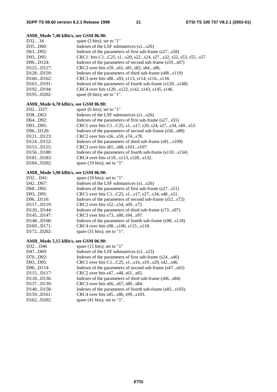#### **AMR\_Mode 7,40 kBit/s, see GSM 06.90:**

| D3234                               | spare $(3 \text{ bits})$ ; set to "1"                      |
|-------------------------------------|------------------------------------------------------------|
| D35D60:                             | Indexes of the LSF submatrices (s1s26)                     |
| D61D92:                             | Indexes of the parameters of first sub-frame (s27s58)      |
| D93D95:                             | CRC1: bits C1C25, s1s20, s22s24, s27s32, s52, s53, s55s57. |
| D96D124:                            | Indexes of the parameters of second sub-frame (s59s87)     |
| D <sub>125</sub> D <sub>127</sub> : | CRC2 over bits s59s61, s81, s82, s84s86.                   |
| D <sub>128</sub> D <sub>159</sub> : | Indexes of the parameters of third sub-frame (s88s119)     |
| D160D162:                           | CRC3 over bits s88s93, s113, s114, s116s118.               |
| D163D191:                           | Indexes of the parameters of fourth sub-frame (s120s148)   |
| D <sub>192</sub> D <sub>194</sub> : | CRC4 over bits s120s122, s142, s143, s145, s146.           |
| D <sub>195</sub> D <sub>202</sub> : | spare $(8 \text{ bits})$ ; set to "1".                     |
|                                     |                                                            |

#### **AMR\_Mode 6,70 kBit/s, see GSM 06.90:**

| Indexes of the LSF submatrices $(s1s26)$<br>D38D63:<br>Indexes of the parameters of first sub-frame (s27s55)<br>D64D92:<br>CRC1 over bits C1C25, s1s17, s20, s24, s27s34, s49s53.<br>D93D95:<br>Indexes of the parameters of second sub-frame (s56s80)<br>D96D120:<br>D <sub>121</sub> D <sub>123</sub> :<br>CRC2 over bits s56s59, s74s78.<br>Indexes of the parameters of third sub-frame (s81s109)<br>D <sub>124</sub> D <sub>152</sub> :<br>D <sub>153</sub> D <sub>155</sub> :<br>CRC3 over bits s81s88, s103s107. |
|-------------------------------------------------------------------------------------------------------------------------------------------------------------------------------------------------------------------------------------------------------------------------------------------------------------------------------------------------------------------------------------------------------------------------------------------------------------------------------------------------------------------------|
|                                                                                                                                                                                                                                                                                                                                                                                                                                                                                                                         |
|                                                                                                                                                                                                                                                                                                                                                                                                                                                                                                                         |
|                                                                                                                                                                                                                                                                                                                                                                                                                                                                                                                         |
|                                                                                                                                                                                                                                                                                                                                                                                                                                                                                                                         |
|                                                                                                                                                                                                                                                                                                                                                                                                                                                                                                                         |
|                                                                                                                                                                                                                                                                                                                                                                                                                                                                                                                         |
|                                                                                                                                                                                                                                                                                                                                                                                                                                                                                                                         |
| Indexes of the parameters of fourth sub-frame (s110s134)<br>D <sub>156</sub> D <sub>180</sub> :                                                                                                                                                                                                                                                                                                                                                                                                                         |
| CRC4 over bits s110s113, s128s132.<br>D <sub>181</sub> D <sub>183</sub> :                                                                                                                                                                                                                                                                                                                                                                                                                                               |
| D <sub>184</sub> D <sub>202</sub> :<br>spare $(19 \text{ bits})$ ; set to "1".                                                                                                                                                                                                                                                                                                                                                                                                                                          |

### **AMR\_Mode 5,90 kBit/s, see GSM 06.90:**

| spare $(10 \text{ bits})$ ; set to "1"                  |
|---------------------------------------------------------|
| Indexes of the LSF submatrices (s1s26)                  |
| Indexes of the parameters of first sub-frame (s27s51)   |
| CRC1 over bits C1C25, s1s17, s27s34, s48s51.            |
| Indexes of the parameters of second sub-frame (s52s72)  |
| CRC2 over bits s52s54, s69s72.                          |
| Indexes of the parameters of third sub-frame (s73s97)   |
| CRC3 over bits s73s80, s94s97.                          |
| Indexes of the parameters of fourth sub-frame (s98s118) |
| CRC4 over bits s98s100, s115s118.                       |
| spare $(31 \text{ bits})$ ; set to "1".                 |
|                                                         |

#### **AMR\_Mode 5,15 kBit/s, see GSM 06.90:**

| D32D46                              | spare $(15 \text{ bits})$ ; set to "1"                  |
|-------------------------------------|---------------------------------------------------------|
| D47D69:                             | Indexes of the LSF submatrices (s1s23)                  |
| D70D92:                             | Indexes of the parameters of first sub-frame (s24s46)   |
| D93D95:                             | CRC1 over bits C1C25, s1s16, s19s29, s42s46.            |
| D96D114:                            | Indexes of the parameters of second sub-frame (s47s65)  |
| D115D117:                           | CRC2 over bits s47s48, s61s65.                          |
| D <sub>118</sub> D <sub>136</sub> : | Indexes of the parameters of third sub-frame (s66s84)   |
| D <sub>137</sub> D <sub>139</sub> : | CRC3 over bits s66s67, s80s84.                          |
| D140D158:                           | Indexes of the parameters of fourth sub-frame (s85s103) |
| D159D161:                           | CRC4 over bits s85s86, s99s103.                         |
| D <sub>162</sub> D <sub>202</sub> : | spare $(41 \text{ bits})$ ; set to "1".                 |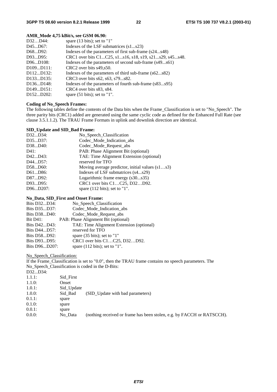#### **AMR\_Mode 4,75 kBit/s, see GSM 06.90:**

| spare $(13 \text{ bits})$ ; set to "1"                 |
|--------------------------------------------------------|
| Indexes of the LSF submatrices (s1s23)                 |
| Indexes of the parameters of first sub-frame (s24s48)  |
| CRC1 over bits C1C25, s1s16, s18, s19, s21s29, s45s48. |
| Indexes of the parameters of second sub-frame (s49s61) |
| CRC2 over bits s49, s50.                               |
| Indexes of the parameters of third sub-frame (s62s82)  |
| CRC3 over bits s62, s63, s79s82.                       |
| Indexes of the parameters of fourth sub-frame (s83s95) |
| CRC4 over bits s83, s84.                               |
| spare $(51 \text{ bits})$ ; set to "1".                |
|                                                        |

#### **Coding of No\_Speech Frames:**

The following tables define the contents of the Data bits when the Frame\_Classification is set to "No\_Speech". The three parity bits (CRC1) added are generated using the same cyclic code as defined for the Enhanced Full Rate (see clause 3.5.1.1.2). The TRAU Frame Formats in uplink and downlink direction are identical.

#### **SID\_Update and SID\_Bad Frame:**

| D32D34:  | No_Speech_Classification                          |
|----------|---------------------------------------------------|
| D35D37:  | Codec_Mode_Indication_abs                         |
| D38D40:  | Codec_Mode_Request_abs                            |
| D41:     | PAB: Phase Alignment Bit (optional)               |
| D42D43:  | TAE: Time Alignment Extension (optional)          |
| D44D57:  | reserved for TFO                                  |
| D58D60:  | Moving average predictor, initial values $(s1s3)$ |
| D61D86:  | Indexes of LSF submatrices (s4s29)                |
| D87D92:  | Logarithmic frame energy (s30s35)                 |
| D93D95:  | CRC1 over bits C1C25, D32D92.                     |
| D96D207: | spare $(112 \text{ bits})$ ; set to "1".          |
|          |                                                   |

#### **No\_Data, SID\_First and Onset Frame:**

| Bits D32D34:    | No_Speech_Classification                 |
|-----------------|------------------------------------------|
| Bits D35D37:    | Codec_Mode_Indication_abs                |
| Bits D38D40:    | Codec_Mode_Request_abs                   |
| <b>Bit D41:</b> | PAB: Phase Alignment Bit (optional)      |
| Bits D42D43:    | TAE: Time Alignment Extension (optional) |
| Bits D44D57:    | reserved for TFO                         |
| Bits D58D92:    | spare $(35 \text{ bits})$ ; set to "1"   |
| Bits D93D95:    | CRC1 over bits C1C25, D32D92.            |
| Bits D96D207:   | spare $(112 \text{ bits})$ ; set to "1". |

#### No Speech Classification:

If the Frame\_Classification is set to "0.0", then the TRAU frame contains no speech parameters. The No\_Speech\_Classification is coded in the D-Bits: D32...D34:

| --------- |            |                                                                        |
|-----------|------------|------------------------------------------------------------------------|
| 1.1.1:    | Sid_First  |                                                                        |
| 1.1.0:    | Onset      |                                                                        |
| 1.0.1:    | Sid_Update |                                                                        |
| 1.0.0:    | Sid Bad    | (SID Update with bad parameters)                                       |
| $0.1.1$ : | spare      |                                                                        |
| 0.1.0:    | spare      |                                                                        |
| $0.0.1$ : | spare      |                                                                        |
| $0.0.0$ : | No Data    | (nothing received or frame has been stolen, e.g. by FACCH or RATSCCH). |
|           |            |                                                                        |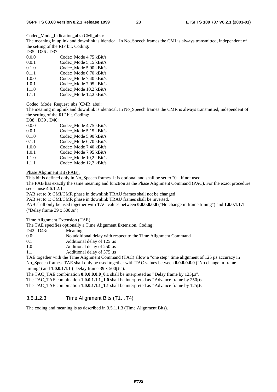Codec Mode Indication abs (CMI abs):

The meaning in uplink and downlink is identical. In No\_Speech frames the CMI is always transmitted, independent of the setting of the RIF bit. Coding:

D35 . D36 . D37:

| 0.0.0 | Codec Mode 4.75 kBit/s |
|-------|------------------------|
| 0.0.1 | Codec Mode 5,15 kBit/s |
| 0.1.0 | Codec Mode 5,90 kBit/s |
| 0.1.1 | Codec_Mode 6,70 kBit/s |
| 1.0.0 | Codec Mode 7,40 kBit/s |
| 1.0.1 | Codec Mode 7,95 kBit/s |
| 1.1.0 | Codec Mode 10,2 kBit/s |
| 1.1.1 | Codec_Mode 12,2 kBit/s |

Codec\_Mode\_Request\_abs (CMR\_abs):

The meaning in uplink and downlink is identical. In No\_Speech frames the CMR is always transmitted, independent of the setting of the RIF bit. Coding:

D38 . D39 . D40:

| 0.0.0 | Codec Mode 4,75 kBit/s   |
|-------|--------------------------|
| 0.0.1 | Codec_Mode 5,15 kBit/s   |
| 0.1.0 | Codec Mode 5,90 kBit/s   |
| 0.1.1 | Codec_Mode 6,70 kBit/s   |
| 1.0.0 | Codec Mode 7.40 kBit/s   |
| 1.0.1 | Codec Mode 7,95 kBit/s   |
| 1.1.0 | Codec Mode $10.2$ kBit/s |

1.1.1 Codec\_Mode 12,2 kBit/s

Phase Alignment Bit (PAB):

This bit is defined only in No Speech frames. It is optional and shall be set to "0", if not used.

The PAB has exactly the same meaning and function as the Phase Alignment Command (PAC). For the exact procedure see clause 4.6.1.2.1.

PAB set to 0: CMI/CMR phase in downlink TRAU frames shall not be changed

PAB set to 1: CMI/CMR phase in downlink TRAU frames shall be inverted.

PAB shall only be used together with TAC values between **0.0.0.0.0.0** ("No change in frame timing") and **1.0.0.1.1.1**  ("Delay frame 39 x 500µs").

Time Alignment Extension (TAE):

The TAE specifies optionally a Time Alignment Extension. Coding:

D42 . D43: Meaning:

0.0: No additional delay with respect to the Time Alignment Command

0.1 Additional delay of 125 µs

1.0 Additional delay of 250  $\mu$ s

1.1 Additional delay of 375 µs

TAE together with the Time Alignment Command (TAC) allow a "one step" time alignment of 125 µs accuracy in No\_Speech frames. TAE shall only be used together with TAC values between **0.0.0.0.0.0** ("No change in frame timing") and **1.0.0.1.1.1 (**"Delay frame 39 x 500µs").

The TAC\_TAE combination **0.0.0.0.0.0\_0.1** shall be interpreted as **"**Delay frame by 125µs".

The TAC\_TAE combination **1.0.0.1.1.1\_1.0** shall be interpreted as **"**Advance frame by 250µs".

The TAC\_TAE combination **1.0.0.1.1.1\_1.1** shall be interpreted as **"**Advance frame by 125µs".

#### 3.5.1.2.3 Time Alignment Bits (T1…T4)

The coding and meaning is as described in 3.5.1.1.3 (Time Alignment Bits).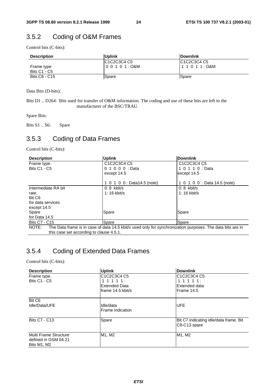### 3.5.2 Coding of O&M Frames

Control bits (C-bits):

| <b>Description</b>                | <b>Uplink</b>              | <b>IDownlink</b> |
|-----------------------------------|----------------------------|------------------|
| Frame type<br><b>Bits C1 - C5</b> | IC1C2C3C4 C5<br>100101:O&M | IC1C2C3C4 C5     |
| Bits C6 - C15                     | Spare                      | <b>Spare</b>     |

Data Bits (D-bits):

Bits D1 .. D264: Bits used for transfer of O&M information. The coding and use of these bits are left to the manufacturer of the BSC/TRAU.

Spare Bits:

Bits S1 .. S6: Spare

### 3.5.3 Coding of Data Frames

Control bits (C-bits):

| <b>Description</b>                       | <b>Uplink</b>                                                                                              | Downlink                                                                   |  |  |  |  |  |
|------------------------------------------|------------------------------------------------------------------------------------------------------------|----------------------------------------------------------------------------|--|--|--|--|--|
| Frame type.                              | C <sub>1</sub> C <sub>2</sub> C <sub>3</sub> C <sub>4</sub> C <sub>5</sub>                                 | C <sub>1</sub> C <sub>2</sub> C <sub>3</sub> C <sub>4</sub> C <sub>5</sub> |  |  |  |  |  |
| <b>Bits C1 - C5</b>                      | 0 1 0 0 0 : Data                                                                                           | 1 0 1 1 0 : Data                                                           |  |  |  |  |  |
|                                          | except 14.5                                                                                                | except 14.5                                                                |  |  |  |  |  |
|                                          |                                                                                                            |                                                                            |  |  |  |  |  |
|                                          | 1 0 1 0 0 : Data14.5 (note)                                                                                | 1 0 1 0 0 : Data 14.5 (note)                                               |  |  |  |  |  |
| Intermediate RA bit                      | $0:8$ kbit/s                                                                                               | $0:8$ kbit/s                                                               |  |  |  |  |  |
| rate.                                    | 1: 16 kbit/s                                                                                               | 1: 16 kbit/s                                                               |  |  |  |  |  |
| Bit C6                                   |                                                                                                            |                                                                            |  |  |  |  |  |
| for data services                        |                                                                                                            |                                                                            |  |  |  |  |  |
| except 14.5                              |                                                                                                            |                                                                            |  |  |  |  |  |
| Spare                                    | Spare                                                                                                      | Spare                                                                      |  |  |  |  |  |
| for Data 14.5                            |                                                                                                            |                                                                            |  |  |  |  |  |
| <b>Bits C7 - C15</b>                     | Spare                                                                                                      | Spare                                                                      |  |  |  |  |  |
| NOTE:                                    | The Data frame is in case of data 14.5 kbit/s used only for synchronization purposes. The data bits are in |                                                                            |  |  |  |  |  |
| this case set according to clause 4.5.1. |                                                                                                            |                                                                            |  |  |  |  |  |

### 3.5.4 Coding of Extended Data Frames

Control bits (C-bits):

| <b>Description</b>    | <b>Uplink</b>                                                              | <b>Downlink</b>                        |
|-----------------------|----------------------------------------------------------------------------|----------------------------------------|
| Frame type.           | C <sub>1</sub> C <sub>2</sub> C <sub>3</sub> C <sub>4</sub> C <sub>5</sub> | IC1C2C3C4 C5                           |
| <b>Bits C1 - C5</b>   | 1 1 1 1 1 :                                                                | 111111:                                |
|                       | Extended Data                                                              | lExtended data                         |
|                       | lframe 14.5 kbit/s                                                         | Frame 14.5                             |
| Bit C <sub>6</sub>    |                                                                            |                                        |
| Idle/Data/UFE         | Idle/data                                                                  | <b>UFE</b>                             |
|                       | Frame indication                                                           |                                        |
| <b>Bits C7 - C13</b>  | Spare                                                                      | Bit C7 indicating idle/data frame. Bit |
|                       |                                                                            | C8-C13 spare                           |
| Multi Frame Structure | M1, M2                                                                     | M1, M2                                 |
| defined in GSM 04.21  |                                                                            |                                        |
| Bits M1, M2           |                                                                            |                                        |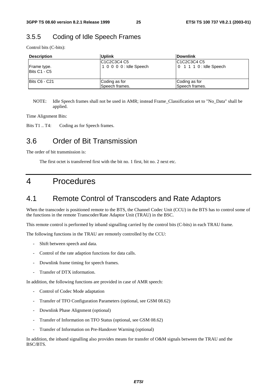### 3.5.5 Coding of Idle Speech Frames

Control bits (C-bits):

| <b>Description</b>          | <b>Uplink</b>                                                                                         | <b>IDownlink</b>                                                                                      |
|-----------------------------|-------------------------------------------------------------------------------------------------------|-------------------------------------------------------------------------------------------------------|
| Frame type.<br>Bits C1 - C5 | C <sub>1</sub> C <sub>2</sub> C <sub>3</sub> C <sub>4</sub> C <sub>5</sub><br>1 0 0 0 0 : Idle Speech | C <sub>1</sub> C <sub>2</sub> C <sub>3</sub> C <sub>4</sub> C <sub>5</sub><br>0 1 1 1 0 : Idle Speech |
| <b>IBits C6 - C21</b>       | Coding as for<br>Speech frames.                                                                       | Coding as for<br>Speech frames.                                                                       |

NOTE: Idle Speech frames shall not be used in AMR; instead Frame\_Classification set to "No\_Data" shall be applied.

Time Alignment Bits:

Bits T1 .. T4: Coding as for Speech frames.

### 3.6 Order of Bit Transmission

The order of bit transmission is:

The first octet is transferred first with the bit no. 1 first, bit no. 2 next etc.

### 4 Procedures

### 4.1 Remote Control of Transcoders and Rate Adaptors

When the transcoder is positioned remote to the BTS, the Channel Codec Unit (CCU) in the BTS has to control some of the functions in the remote Transcoder/Rate Adaptor Unit (TRAU) in the BSC.

This remote control is performed by inband signalling carried by the control bits (C-bits) in each TRAU frame.

The following functions in the TRAU are remotely controlled by the CCU:

- Shift between speech and data.
- Control of the rate adaption functions for data calls.
- Downlink frame timing for speech frames.
- Transfer of DTX information.

In addition, the following functions are provided in case of AMR speech:

- Control of Codec Mode adaptation
- Transfer of TFO Configuration Parameters (optional, see GSM 08.62)
- Downlink Phase Alignment (optional)
- Transfer of Information on TFO Status (optional, see GSM 08.62)
- Transfer of Information on Pre-Handover Warning (optional)

In addition, the inband signalling also provides means for transfer of O&M signals between the TRAU and the BSC/BTS.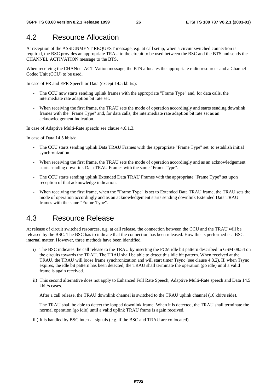### 4.2 Resource Allocation

At reception of the ASSIGNMENT REQUEST message, e.g. at call setup, when a circuit switched connection is required, the BSC provides an appropriate TRAU to the circuit to be used between the BSC and the BTS and sends the CHANNEL ACTIVATION message to the BTS.

When receiving the CHANnel ACTIVation message, the BTS allocates the appropriate radio resources and a Channel Codec Unit (CCU) to be used.

In case of FR and EFR Speech or Data (except 14.5 kbit/s):

- The CCU now starts sending uplink frames with the appropriate "Frame Type" and, for data calls, the intermediate rate adaption bit rate set.
- When receiving the first frame, the TRAU sets the mode of operation accordingly and starts sending downlink frames with the "Frame Type" and, for data calls, the intermediate rate adaption bit rate set as an acknowledgement indication.

In case of Adaptive Multi-Rate speech: see clause 4.6.1.3.

In case of Data 14.5 kbit/s:

- The CCU starts sending uplink Data TRAU Frames with the appropriate "Frame Type" set to establish initial synchronization.
- When receiving the first frame, the TRAU sets the mode of operation accordingly and as an acknowledgement starts sending downlink Data TRAU Frames with the same "Frame Type".
- The CCU starts sending uplink Extended Data TRAU Frames with the appropriate "Frame Type" set upon reception of that acknowledge indication.
- When receiving the first frame, when the "Frame Type" is set to Extended Data TRAU frame, the TRAU sets the mode of operation accordingly and as an acknowledgement starts sending downlink Extended Data TRAU frames with the same "Frame Type".

### 4.3 Resource Release

At release of circuit switched resources, e.g. at call release, the connection between the CCU and the TRAU will be released by the BSC. The BSC has to indicate that the connection has been released. How this is performed is a BSC internal matter. However, three methods have been identified.

- i) The BSC indicates the call release to the TRAU by inserting the PCM idle bit pattern described in GSM 08.54 on the circuits towards the TRAU. The TRAU shall be able to detect this idle bit pattern. When received at the TRAU, the TRAU will loose frame synchronization and will start timer Tsync (see clause 4.8.2). If, when Tsync expires, the idle bit pattern has been detected, the TRAU shall terminate the operation (go idle) until a valid frame is again received.
- ii) This second alternative does not apply to Enhanced Full Rate Speech, Adaptive Multi-Rate speech and Data 14.5 kbit/s cases.

After a call release, the TRAU downlink channel is switched to the TRAU uplink channel (16 kbit/s side).

 The TRAU shall be able to detect the looped downlink frame. When it is detected, the TRAU shall terminate the normal operation (go idle) until a valid uplink TRAU frame is again received.

iii) It is handled by BSC internal signals (e.g. if the BSC and TRAU are collocated).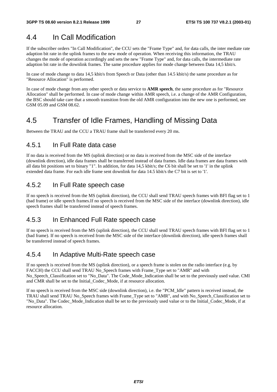### 4.4 In Call Modification

If the subscriber orders "In Call Modification", the CCU sets the "Frame Type" and, for data calls, the inter mediate rate adaption bit rate in the uplink frames to the new mode of operation. When receiving this information, the TRAU changes the mode of operation accordingly and sets the new "Frame Type" and, for data calls, the intermediate rate adaption bit rate in the downlink frames. The same procedure applies for mode change between Data 14,5 kbit/s.

In case of mode change to data 14,5 kbit/s from Speech or Data (other than 14.5 kbit/s) the same procedure as for "Resource Allocation" is performed.

In case of mode change from any other speech or data service to **AMR speech**, the same procedure as for "Resource Allocation" shall be performed. In case of mode change within AMR speech, i.e. a change of the AMR Configuration, the BSC should take care that a smooth transition from the old AMR configuration into the new one is performed, see GSM 05.09 and GSM 08.62.

### 4.5 Transfer of Idle Frames, Handling of Missing Data

Between the TRAU and the CCU a TRAU frame shall be transferred every 20 ms.

### 4.5.1 In Full Rate data case

If no data is received from the MS (uplink direction) or no data is received from the MSC side of the interface (downlink direction), idle data frames shall be transferred instead of data frames. Idle data frames are data frames with all data bit positions set to binary "1". In addition, for data 14,5 kbit/s; the C6 bit shall be set to '1' in the uplink extended data frame. For each idle frame sent downlink for data 14.5 kbit/s the C7 bit is set to '1'.

### 4.5.2 In Full Rate speech case

If no speech is received from the MS (uplink direction), the CCU shall send TRAU speech frames with BFI flag set to 1 (bad frame) or idle speech frames.If no speech is received from the MSC side of the interface (downlink direction), idle speech frames shall be transferred instead of speech frames.

### 4.5.3 In Enhanced Full Rate speech case

If no speech is received from the MS (uplink direction), the CCU shall send TRAU speech frames with BFI flag set to 1 (bad frame). If no speech is received from the MSC side of the interface (downlink direction), idle speech frames shall be transferred instead of speech frames.

### 4.5.4 In Adaptive Multi-Rate speech case

If no speech is received from the MS (uplink direction), or a speech frame is stolen on the radio interface (e.g. by FACCH) the CCU shall send TRAU No\_Speech frames with Frame\_Type set to "AMR" and with No Speech Classification set to "No Data". The Code Mode Indication shall be set to the previously used value. CMI and CMR shall be set to the Initial\_Codec\_Mode, if at resource allocation.

If no speech is received from the MSC side (downlink direction), i.e. the "PCM\_Idle" pattern is received instead, the TRAU shall send TRAU No\_Speech frames with Frame\_Type set to "AMR", and with No\_Speech\_Classification set to "No\_Data". The Codec\_Mode\_Indication shall be set to the previously used value or to the Initial\_Codec\_Mode, if at resource allocation.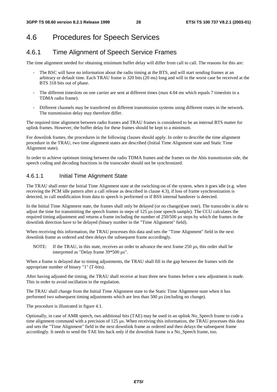### 4.6 Procedures for Speech Services

### 4.6.1 Time Alignment of Speech Service Frames

The time alignment needed for obtaining minimum buffer delay will differ from call to call. The reasons for this are:

- The BSC will have no information about the radio timing at the BTS, and will start sending frames at an arbitrary or default time. Each TRAU frame is 320 bits (20 ms) long and will in the worst case be received at the BTS 318 bits out of phase.
- The different timeslots on one carrier are sent at different times (max 4.04 ms which equals 7 timeslots in a TDMA radio frame).
- Different channels may be transferred on different transmission systems using different routes in the network. The transmission delay may therefore differ.

The required time alignment between radio frames and TRAU frames is considered to be an internal BTS matter for uplink frames. However, the buffer delay for these frames should be kept to a minimum.

For downlink frames, the procedures in the following clauses should apply. In order to describe the time alignment procedure in the TRAU, two time alignment states are described (Initial Time Alignment state and Static Time Alignment state).

In order to achieve optimum timing between the radio TDMA frames and the frames on the Abis transmission side, the speech coding and decoding functions in the transcoder should not be synchronized.

### 4.6.1.1 Initial Time Alignment State

The TRAU shall enter the Initial Time Alignment state at the switching-on of the system, when it goes idle (e.g. when receiving the PCM idle pattern after a call release as described in clause 4.3), if loss of frame synchronization is detected, in call modification from data to speech is performed or if BSS internal handover is detected.

In the Initial Time Alignment state, the frames shall only be delayed (or no change)(see note). The transcoder is able to adjust the time for transmitting the speech frames in steps of 125 µs (one speech sample). The CCU calculates the required timing adjustment and returns a frame including the number of 250/500 µs steps by which the frames in the downlink direction have to be delayed (binary number in the "Time Alignment" field).

When receiving this information, the TRAU processes this data and sets the "Time Alignment" field in the next downlink frame as ordered and then delays the subsequent frame accordingly.

NOTE: If the TRAU, in this state, receives an order to advance the next frame 250 µs, this order shall be interpreted as "Delay frame 39\*500 µs".

When a frame is delayed due to timing adjustments, the TRAU shall fill in the gap between the frames with the appropriate number of binary "1" (T-bits).

After having adjusted the timing, the TRAU shall receive at least three new frames before a new adjustment is made. This in order to avoid oscillation in the regulation.

The TRAU shall change from the Initial Time Alignment state to the Static Time Alignment state when it has performed two subsequent timing adjustments which are less than 500 µs (including no change).

The procedure is illustrated in figure 4.1.

Optionally, in case of AMR speech, two additional bits (TAE) may be used in an uplink No\_Speech frame to code a time alignment command with a precision of 125 µs. When receiving this information, the TRAU processes this data and sets the "Time Alignment" field in the next downlink frame as ordered and then delays the subsequent frame accordingly. It needs to send the TAE bits back only if the downlink frame is a No\_Speech frame, too.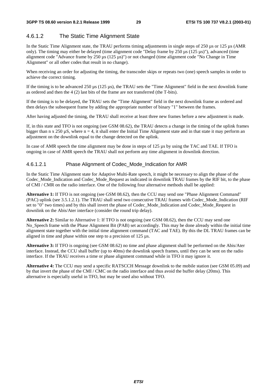### 4.6.1.2 The Static Time Alignment State

In the Static Time Alignment state, the TRAU performs timing adjustments in single steps of 250 µs or 125 µs (AMR only). The timing may either be delayed (time alignment code "Delay frame by 250 µs (125 µs)"), advanced (time alignment code "Advance frame by 250 µs (125 µs)") or not changed (time alignment code "No Change in Time Alignment" or all other codes that result in no change).

When receiving an order for adjusting the timing, the transcoder skips or repeats two (one) speech samples in order to achieve the correct timing.

If the timing is to be advanced  $250 \mu s$  (125  $\mu s$ ), the TRAU sets the "Time Alignment" field in the next downlink frame as ordered and then the 4 (2) last bits of the frame are not transferred (the T-bits).

If the timing is to be delayed, the TRAU sets the "Time Alignment" field in the next downlink frame as ordered and then delays the subsequent frame by adding the appropriate number of binary "1" between the frames.

After having adjusted the timing, the TRAU shall receive at least three new frames before a new adjustment is made.

If, in this state and TFO is not ongoing (see GSM 08.62), the TRAU detects a change in the timing of the uplink frames bigger than n x 250  $\mu$ S, where n = 4, it shall enter the Initial Time Alignment state and in that state it may perform an adjustment on the downlink equal to the change detected on the uplink.

In case of AMR speech the time alignment may be done in steps of 125 us by using the TAC and TAE. If TFO is ongoing in case of AMR speech the TRAU shall not perform any time alignment in downlink direction.

#### 4.6.1.2.1 Phase Alignment of Codec\_Mode\_Indication for AMR

In the Static Time Alignment state for Adaptive Multi-Rate speech, it might be necessary to align the phase of the Codec\_Mode\_Indication and Codec\_Mode\_Request as indicated in downlink TRAU frames by the RIF bit, to the phase of CMI / CMR on the radio interface. One of the following four alternative methods shall be applied:

**Alternative 1:** If TFO is not ongoing (see GSM 08.62), then the CCU may send one "Phase Alignment Command" (PAC) uplink (see 3.5.1.2.1). The TRAU shall send two consecutive TRAU frames with Codec\_Mode\_Indication (RIF set to "0" two times) and by this shall invert the phase of Codec\_Mode\_Indication and Codec\_Mode\_Request in downlink on the Abis/Ater interface (consider the round trip delay).

**Alternative 2:** Similar to Alternative 1: If TFO is not ongoing (see GSM 08.62), then the CCU may send one No\_Speech frame with the Phase Alignment Bit (PAB) set accordingly. This may be done already within the initial time alignment state together with the initial time alignment command (TAC and TAE). By this the DL TRAU frames can be aligned in time and phase within one step to a precision of 125 µs.

**Alternative 3:** If TFO is ongoing (see GSM 08.62) no time and phase alignment shall be performed on the Abis/Ater interface. Instead, the CCU shall buffer (up to 40ms) the downlink speech frames, until they can be sent on the radio interface. If the TRAU receives a time or phase alignment command while in TFO it may ignore it.

**Alternative 4:** The CCU may send a specific RATSCCH Message downlink to the mobile station (see GSM 05.09) and by that invert the phase of the CMI / CMC on the radio interface and thus avoid the buffer delay (20ms). This alternative is especially useful in TFO, but may be used also without TFO.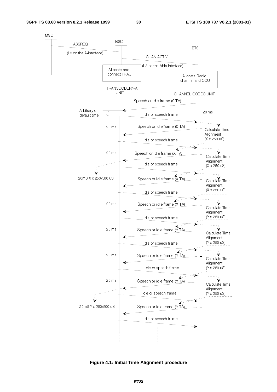30



Figure 4.1: Initial Time Alignment procedure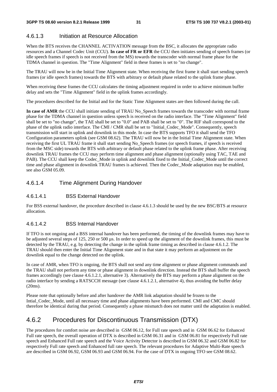### 4.6.1.3 Initiation at Resource Allocation

When the BTS receives the CHANNEL ACTIVATION message from the BSC, it allocates the appropriate radio resources and a Channel Codec Unit (CCU). **In case of FR or EFR** the CCU then initiates sending of speech frames (or idle speech frames if speech is not received from the MS) towards the transcoder with normal frame phase for the TDMA channel in question. The "Time Alignment" field in these frames is set to "no change".

The TRAU will now be in the Initial Time Alignment state. When receiving the first frame it shall start sending speech frames (or idle speech frames) towards the BTS with arbitrary or default phase related to the uplink frame phase.

When receiving these frames the CCU calculates the timing adjustment required in order to achieve minimum buffer delay and sets the "Time Alignment" field in the uplink frames accordingly.

The procedures described for the Initial and for the Static Time Alignment states are then followed during the call.

**In case of AMR** the CCU shall initiate sending of TRAU No\_Speech frames towards the transcoder with normal frame phase for the TDMA channel in question unless speech is received on the radio interface. The "Time Alignment" field shall be set to "no change", the TAE shall be set to "0.0" and PAB shall be set to "0". The RIF shall correspond to the phase of the uplink radio interface. The CMI / CMR shall be set to "Initial\_Codec\_Mode". Consequently, speech transmission will start in uplink and downlink in this mode. In case the BTS supports TFO it shall send the TFO Configuration parameters uplink (see GSM 08.62). The TRAU will now be in the Initial Time Alignment state. When receiving the first UL TRAU frame it shall start sending No\_Speech frames (or speech frames, if speech is received from the MSC side) towards the BTS with arbitrary or default phase related to the uplink frame phase. After receiving downlink TRAU frames the CCU may perform time alignment and phase alignment (optionally using TAC, TAE and PAB). The CCU shall keep the Codec\_Mode in uplink and downlink fixed to the Initial\_Codec\_Mode until the correct time and phase alignment in downlink TRAU frames is achieved. Then the Codec\_Mode adaptation may be enabled, see also GSM 05.09.

### 4.6.1.4 Time Alignment During Handover

### 4.6.1.4.1 BSS External Handover

For BSS external handover, the procedure described in clause 4.6.1.3 should be used by the new BSC/BTS at resource allocation.

#### 4.6.1.4.2 BSS Internal Handover

If TFO is not ongoing and a BSS internal handover has been performed, the timing of the downlink frames may have to be adjusted several steps of 125, 250 or 500 µs. In order to speed up the alignment of the downlink frames, this must be detected by the TRAU, e.g. by detecting the change in the uplink frame timing as described in clause 4.6.1.2. The TRAU should then enter the Initial Time Alignment state and in that state it may perform an adjustment on the downlink equal to the change detected on the uplink.

In case of AMR, when TFO is ongoing, the BTS shall not send any time alignment or phase alignment commands and the TRAU shall not perform any time or phase alignment in downlink direction. Instead the BTS shall buffer the speech frames accordingly (see clause 4.6.1.2.1, alternative 3). Alternatively the BTS may perform a phase alignment on the radio interface by sending a RATSCCH message (see clause 4.6.1.2.1, alternative 4), thus avoiding the buffer delay (20ms).

Please note that optionally before and after handover the AMR link adaptation should be frozen to the Intial\_Codec\_Mode, until all necessary time and phase alignments have been performed. CMI and CMC should therefore be identical during that period. Consequently a phase mismatch does not matter until the adaptation is enabled.

### 4.6.2 Procedures for Discontinuous Transmission (DTX)

The procedures for comfort noise are described in GSM 06.12, for Full rate speech and in GSM 06.62 for Enhanced Full rate speech, the overall operation of DTX is described in GSM 06.31 and in GSM 06.81 for respectively Full rate speech and Enhanced Full rate speech and the Voice Activity Detector is described in GSM 06.32 and GSM 06.82 for respectively Full rate speech and Enhanced full rate speech. The relevant procedures for Adaptive Multi-Rate speech are described in GSM 06.92, GSM 06.93 and GSM 06.94. For the case of DTX in ongoing TFO see GSM 08.62.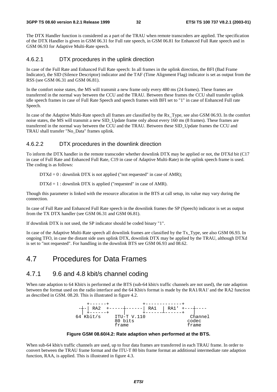The DTX Handler function is considered as a part of the TRAU when remote transcoders are applied. The specification of the DTX Handler is given in GSM 06.31 for Full rate speech, in GSM 06.81 for Enhanced Full Rate speech and in GSM 06.93 for Adaptive Multi-Rate speech.

#### 4.6.2.1 DTX procedures in the uplink direction

In case of the Full Rate and Enhanced Full Rate speech: In all frames in the uplink direction, the BFI (Bad Frame Indicator), the SID (Silence Descriptor) indicator and the TAF (Time Alignment Flag) indicator is set as output from the RSS (see GSM 06.31 and GSM 06.81).

In the comfort noise states, the MS will transmit a new frame only every 480 ms (24 frames). These frames are transferred in the normal way between the CCU and the TRAU. Between these frames the CCU shall transfer uplink idle speech frames in case of Full Rate Speech and speech frames with BFI set to "1" in case of Enhanced Full rate Speech.

In case of the Adaptive Multi-Rate speech all frames are classified by the Rx\_Type, see also GSM 06.93. In the comfort noise states, the MS will transmit a new SID\_Update frame only about every 160 ms (8 frames). These frames are transferred in the normal way between the CCU and the TRAU. Between these SID\_Update frames the CCU and TRAU shall transfer "No\_Data" frames uplink.

### 4.6.2.2 DTX procedures in the downlink direction

To inform the DTX handler in the remote transcoder whether downlink DTX may be applied or not, the DTXd bit (C17 in case of Full Rate and Enhanced Full Rate, C19 in case of Adaptive Multi-Rate) in the uplink speech frame is used. The coding is as follows:

 $DTXd = 0$ : downlink DTX is not applied ("not requested" in case of AMR);

DTXd = 1 : downlink DTX is applied ("requested" in case of AMR).

Though this parameter is linked with the resource allocation in the BTS at call setup, its value may vary during the connection.

In case of Full Rate and Enhanced Full Rate speech in the downlink frames the SP (Speech) indicator is set as output from the TX DTX handler (see GSM 06.31 and GSM 06.81).

If downlink DTX is not used, the SP indicator should be coded binary "1".

In case of the Adaptive Multi-Rate speech all downlink frames are classified by the Tx\_Type, see also GSM 06.93. In ongoing TFO, in case the distant side uses uplink DTX, downlink DTX may be applied by the TRAU, although DTXd is set to "not requested". For handling in the downlink BTS see GSM 06.93 and 08.62.

### 4.7 Procedures for Data Frames

### 4.7.1 9.6 and 4.8 kbit/s channel coding

When rate adaption to 64 Kbit/s is performed at the BTS (sub-64 kbit/s traffic channels are not used), the rate adaption between the format used on the radio interface and the 64 Kbit/s format is made by the RA1/RA1' and the RA2 function as described in GSM. 08.20. This is illustrated in figure 4.2.



**Figure GSM 08.60/4.2: Rate adaption when performed at the BTS.** 

When sub-64 kbit/s traffic channels are used, up to four data frames are transferred in each TRAU frame. In order to convert between the TRAU frame format and the ITU-T 80 bits frame format an additional intermediate rate adaption function, RAA, is applied. This is illustrated in figure 4.3.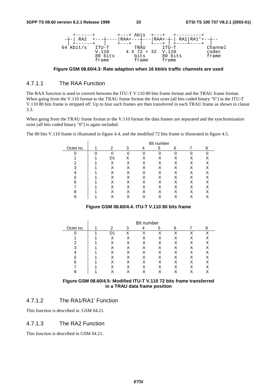

**Figure GSM 08.60/4.3: Rate adaption when 16 kbit/s traffic channels are used** 

### 4.7.1.1 The RAA Function

The RAA function is used to convert between the ITU-T V.110 80 bits frame format and the TRAU frame format. When going from the V.110 format to the TRAU frame format the first octet (all bits coded binary "0") in the ITU-T V.110 80 bits frame is stripped off. Up to four such frames are then transferred in each TRAU frame as shown in clause 3.3.

When going from the TRAU frame format to the V.110 format the data frames are separated and the synchronization octet (all bits coded binary "0") is again included.

The 80 bits V.110 frame is illustrated in figure 4.4, and the modified 72 bits frame is illustrated in figure 4.5.

|           |    |   |   | Bit number |   |   |
|-----------|----|---|---|------------|---|---|
| Octet no. | 2  | 3 |   | 5          | 6 | 8 |
|           |    | 0 | 0 | ∩          |   |   |
|           | D1 |   |   |            |   |   |
|           | X  |   |   | Χ          |   |   |
|           |    |   |   |            |   |   |
|           |    |   |   |            |   |   |
|           |    |   |   |            |   |   |
| հ         |    |   |   |            |   |   |
|           |    |   |   |            |   |   |
|           |    |   |   |            |   |   |
|           |    |   |   |            |   |   |

#### **Figure GSM 08.60/4.4: ITU-T V.110 80 bits frame**

|           |              |   | Bit number |   |   |   |  |
|-----------|--------------|---|------------|---|---|---|--|
| Octet no. | 2            | 3 |            | 5 | 6 |   |  |
|           | D1           | X | x          | v |   | x |  |
|           | $\checkmark$ | χ |            | x |   | χ |  |
|           | x            | х | X          | х | Χ | Χ |  |
|           |              |   |            |   |   |   |  |
|           |              | x | Χ          |   |   | Χ |  |
| 5         |              | Χ | x          | х | x | Χ |  |
| 6         |              |   |            |   |   |   |  |
|           |              | χ |            |   |   |   |  |
|           |              |   |            |   |   |   |  |

#### **Figure GSM 08.60/4.5: Modified ITU-T V.110 72 bits frame transferred in a TRAU data frame position**

### 4.7.1.2 The RA1/RA1' Function

This function is described in GSM 04.21.

### 4.7.1.3 The RA2 Function

This function is described in GSM 04.21.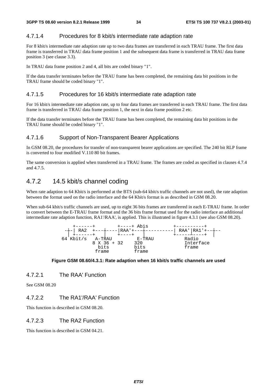### 4.7.1.4 Procedures for 8 kbit/s intermediate rate adaption rate

For 8 kbit/s intermediate rate adaption rate up to two data frames are transferred in each TRAU frame. The first data frame is transferred in TRAU data frame position 1 and the subsequent data frame is transferred in TRAU data frame position 3 (see clause 3.3).

In TRAU data frame position 2 and 4, all bits are coded binary "1".

If the data transfer terminates before the TRAU frame has been completed, the remaining data bit positions in the TRAU frame should be coded binary "1".

### 4.7.1.5 Procedures for 16 kbit/s intermediate rate adaption rate

For 16 kbit/s intermediate rate adaption rate, up to four data frames are transferred in each TRAU frame. The first data frame is transferred in TRAU data frame position 1, the next in data frame position 2 etc.

If the data transfer terminates before the TRAU frame has been completed, the remaining data bit positions in the TRAU frame should be coded binary "1".

#### 4.7.1.6 Support of Non-Transparent Bearer Applications

In GSM 08.20, the procedures for transfer of non-transparent bearer applications are specified. The 240 bit RLP frame is converted to four modified V.110 80 bit frames.

The same conversion is applied when transferred in a TRAU frame. The frames are coded as specified in clauses 4.7.4 and 4.7.5.

### 4.7.2 14.5 kbit/s channel coding

When rate adaption to 64 Kbit/s is performed at the BTS (sub-64 kbit/s traffic channels are not used), the rate adaption between the format used on the radio interface and the 64 Kbit/s format is as described in GSM 08.20.

When sub-64 kbit/s traffic channels are used, up to eight 36 bits frames are transferred in each E-TRAU frame. In order to convert between the E-TRAU frame format and the 36 bits frame format used for the radio interface an additional intermediate rate adaption function, RA1'/RAA', is applied. This is illustrated in figure 4.3.1 (see also GSM 08.20).



#### **Figure GSM 08.60/4.3.1: Rate adaption when 16 kbit/s traffic channels are used**

#### 4.7.2.1 The RAA' Function

See GSM 08.20

### 4.7.2.2 The RA1'/RAA' Function

This function is described in GSM 08.20.

### 4.7.2.3 The RA2 Function

This function is described in GSM 04.21.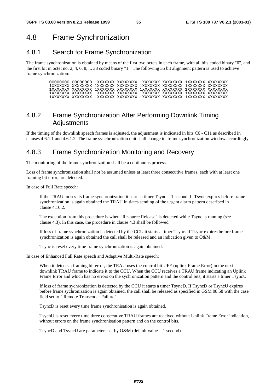### 4.8 Frame Synchronization

### 4.8.1 Search for Frame Synchronization

The frame synchronization is obtained by means of the first two octets in each frame, with all bits coded binary "0", and the first bit in octet no. 2, 4, 6, 8, ... 38 coded binary "1". The following 35 bit alignment pattern is used to achieve frame synchronization:

### 4.8.2 Frame Synchronization After Performing Downlink Timing Adjustments

If the timing of the downlink speech frames is adjusted, the adjustment is indicated in bits C6 - C11 as described in clauses 4.6.1.1 and 4.6.1.2. The frame synchronization unit shall change its frame synchronization window accordingly.

### 4.8.3 Frame Synchronization Monitoring and Recovery

The monitoring of the frame synchronization shall be a continuous process.

Loss of frame synchronization shall not be assumed unless at least three consecutive frames, each with at least one framing bit error, are detected.

In case of Full Rate speech:

 If the TRAU looses its frame synchronization it starts a timer Tsync = 1 second. If Tsync expires before frame synchronization is again obtained the TRAU initiates sending of the urgent alarm pattern described in clause 4.10.2.

 The exception from this procedure is when "Resource Release" is detected while Tsync is running (see clause 4.3). In this case, the procedure in clause 4.3 shall be followed.

 If loss of frame synchronization is detected by the CCU it starts a timer Tsync. If Tsync expires before frame synchronization is again obtained the call shall be released and an indication given to O&M.

Tsync is reset every time frame synchronization is again obtained.

In case of Enhanced Full Rate speech and Adaptive Multi-Rate speech:

 When it detects a framing bit error, the TRAU uses the control bit UFE (uplink Frame Error) in the next downlink TRAU frame to indicate it to the CCU. When the CCU receives a TRAU frame indicating an Uplink Frame Error and which has no errors on the sychronization pattern and the control bits, it starts a timer TsyncU.

 If loss of frame sychronization is detected by the CCU it starts a timer TsyncD. If TsyncD or TsyncU expires before frame sychronization is again obtained, the call shall be released as specified in GSM 08.58 with the case field set to " Remote Transcoder Failure".

TsyncD is reset every time frame synchronisation is again obtained.

 TsychU is reset every time three consecutive TRAU frames are received without Uplink Frame Error indication, without errors on the frame synchronisation pattern and on the control bits.

TsyncD and TsyncU are parameters set by O&M (default value = 1 second).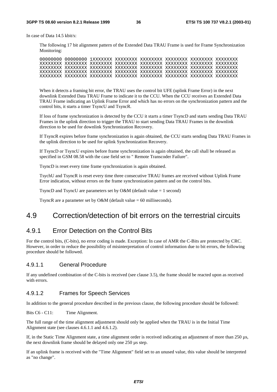In case of Data 14.5 kbit/s:

 The following 17 bit alignment pattern of the Extended Data TRAU Frame is used for Frame Synchronization Monitoring:

 When it detects a framing bit error, the TRAU uses the control bit UFE (uplink Frame Error) in the next downlink Extended Data TRAU Frame to indicate it to the CCU. When the CCU receives an Extended Data TRAU Frame indicating an Uplink Frame Error and which has no errors on the synchronization pattern and the control bits, it starts a timer TsyncU and TsyncR.

 If loss of frame synchronization is detected by the CCU it starts a timer TsyncD and starts sending Data TRAU Frames in the uplink direction to trigger the TRAU to start sending Data TRAU Frames in the downlink direction to be used for downlink Synchronization Recovery.

 If TsyncR expires before frame synchronization is again obtained, the CCU starts sending Data TRAU Frames in the uplink direction to be used for uplink Synchronization Recovery.

 If TsyncD or TsyncU expires before frame synchronization is again obtained, the call shall be released as specified in GSM 08.58 with the case field set to " Remote Transcoder Failure".

TsyncD is reset every time frame synchronization is again obtained.

 TsychU and TsyncR is reset every time three consecutive TRAU frames are received without Uplink Frame Error indication, without errors on the frame synchronization pattern and on the control bits.

TsyncD and TsyncU are parameters set by O&M (default value  $= 1$  second)

TsyncR are a parameter set by O&M (default value  $= 60$  milliseconds).

### 4.9 Correction/detection of bit errors on the terrestrial circuits

### 4.9.1 Error Detection on the Control Bits

For the control bits, (C-bits), no error coding is made. Exception: In case of AMR the C-Bits are protected by CRC. However, in order to reduce the possibility of misinterpretation of control information due to bit errors, the following procedure should be followed.

### 4.9.1.1 General Procedure

If any undefined combination of the C-bits is received (see clause 3.5), the frame should be reacted upon as received with errors.

### 4.9.1.2 Frames for Speech Services

In addition to the general procedure described in the previous clause, the following procedure should be followed:

Bits C6 - C11: Time Alignment.

The full range of the time alignment adjustment should only be applied when the TRAU is in the Initial Time Alignment state (see clauses 4.6.1.1 and 4.6.1.2).

If, in the Static Time Alignment state, a time alignment order is received indicating an adjustment of more than 250 µs, the next downlink frame should be delayed only one 250 µs step.

If an uplink frame is received with the "Time Alignment" field set to an unused value, this value should be interpreted as "no change".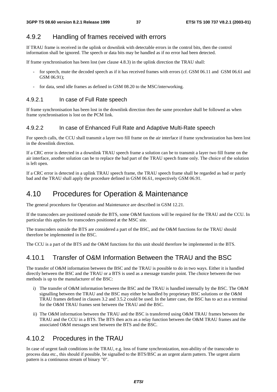### 4.9.2 Handling of frames received with errors

If TRAU frame is received in the uplink or downlink with detectable errors in the control bits, then the control information shall be ignored. The speech or data bits may be handled as if no error had been detected.

If frame synchronisation has been lost (see clause 4.8.3) in the uplink direction the TRAU shall:

- for speech, mute the decoded speech as if it has received frames with errors (cf. GSM 06.11 and GSM 06.61 and GSM 06.91);
- for data, send idle frames as defined in GSM 08.20 to the MSC/interworking.

### 4.9.2.1 In case of Full Rate speech

If frame synchronisation has been lost in the downlink direction then the same procedure shall be followed as when frame synchronisation is lost on the PCM link.

#### 4.9.2.2 In case of Enhanced Full Rate and Adaptive Multi-Rate speech

For speech calls, the CCU shall transmit a layer two fill frame on the air interface if frame synchronization has been lost in the downlink direction.

If a CRC error is detected in a downlink TRAU speech frame a solution can be to transmit a layer two fill frame on the air interface, another solution can be to replace the bad part of the TRAU speech frame only. The choice of the solution is left open.

If a CRC error is detected in a uplink TRAU speech frame, the TRAU speech frame shall be regarded as bad or partly bad and the TRAU shall apply the procedure defined in GSM 06.61, respectively GSM 06.91.

### 4.10 Procedures for Operation & Maintenance

The general procedures for Operation and Maintenance are described in GSM 12.21.

If the transcoders are positioned outside the BTS, some O&M functions will be required for the TRAU and the CCU. In particular this applies for transcoders positioned at the MSC site.

The transcoders outside the BTS are considered a part of the BSC, and the O&M functions for the TRAU should therefore be implemented in the BSC.

The CCU is a part of the BTS and the O&M functions for this unit should therefore be implemented in the BTS.

### 4.10.1 Transfer of O&M Information Between the TRAU and the BSC

The transfer of O&M information between the BSC and the TRAU is possible to do in two ways. Either it is handled directly between the BSC and the TRAU or a BTS is used as a message transfer point. The choice between the two methods is up to the manufacturer of the BSC:

- i) The transfer of O&M information between the BSC and the TRAU is handled internally by the BSC. The O&M signalling between the TRAU and the BSC may either be handled by proprietary BSC solutions or the O&M TRAU frames defined in clauses 3.2 and 3.5.2 could be used. In the latter case, the BSC has to act as a terminal for the O&M TRAU frames sent between the TRAU and the BSC.
- ii) The O&M information between the TRAU and the BSC is transferred using O&M TRAU frames between the TRAU and the CCU in a BTS. The BTS then acts as a relay function between the O&M TRAU frames and the associated O&M messages sent between the BTS and the BSC.

### 4.10.2 Procedures in the TRAU

In case of urgent fault conditions in the TRAU, e.g. loss of frame synchronization, non-ability of the transcoder to process data etc., this should if possible, be signalled to the BTS/BSC as an urgent alarm pattern. The urgent alarm pattern is a continuous stream of binary "0".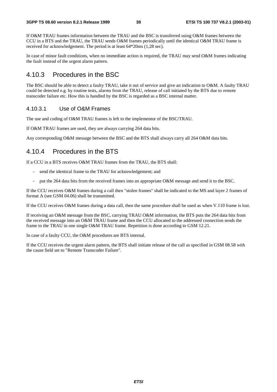If O&M TRAU frames information between the TRAU and the BSC is transferred using O&M frames between the CCU in a BTS and the TRAU, the TRAU sends O&M frames periodically until the identical O&M TRAU frame is received for acknowledgement. The period is at least 64\*20ms (1,28 sec).

In case of minor fault conditions, when no immediate action is required, the TRAU may send O&M frames indicating the fault instead of the urgent alarm pattern.

### 4.10.3 Procedures in the BSC

The BSC should be able to detect a faulty TRAU, take it out of service and give an indication to O&M. A faulty TRAU could be detected e.g. by routine tests, alarms from the TRAU, release of call initiated by the BTS due to remote transcoder failure etc. How this is handled by the BSC is regarded as a BSC internal matter.

### 4.10.3.1 Use of O&M Frames

The use and coding of O&M TRAU frames is left to the implementor of the BSC/TRAU.

If O&M TRAU frames are used, they are always carrying 264 data bits.

Any corresponding O&M message between the BSC and the BTS shall always carry all 264 O&M data bits.

### 4.10.4 Procedures in the BTS

If a CCU in a BTS receives O&M TRAU frames from the TRAU, the BTS shall:

- send the identical frame to the TRAU for acknowledgement; and
- put the 264 data bits from the received frames into an appropriate O&M message and send it to the BSC.

If the CCU receives O&M frames during a call then "stolen frames" shall be indicated to the MS and layer 2 frames of format A (see GSM 04.06) shall be transmitted.

If the CCU receives O&M frames during a data call, then the same procedure shall be used as when V.110 frame is lost.

If receiving an O&M message from the BSC, carrying TRAU O&M information, the BTS puts the 264 data bits from the received message into an O&M TRAU frame and then the CCU allocated to the addressed connection sends the frame to the TRAU in one single O&M TRAU frame. Repetition is done according to GSM 12.21.

In case of a faulty CCU, the O&M procedures are BTS internal.

If the CCU receives the urgent alarm pattern, the BTS shall initiate release of the call as specified in GSM 08.58 with the cause field set to "Remote Transcoder Failure".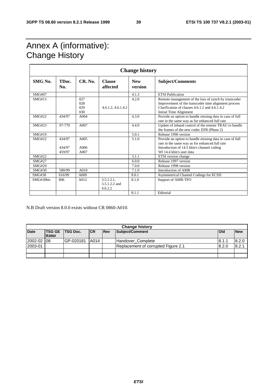### Annex A (informative): **Change History**

| <b>Change history</b> |                            |                          |                                           |                       |                                                                                                                                                                                                        |  |  |  |
|-----------------------|----------------------------|--------------------------|-------------------------------------------|-----------------------|--------------------------------------------------------------------------------------------------------------------------------------------------------------------------------------------------------|--|--|--|
| SMG No.               | TDoc.<br>No.               | CR. No.                  | <b>Clause</b><br>affected                 | <b>New</b><br>version | <b>Subject/Comments</b>                                                                                                                                                                                |  |  |  |
| SMG#07                |                            |                          |                                           | 4.1.3                 | <b>ETSI</b> Publication                                                                                                                                                                                |  |  |  |
| SMG#13                |                            | 027<br>028<br>029<br>030 | 4.6.1.2, 4.6.1.4.2                        | 4.2.0                 | Remote management of the loss of synch by transcoder<br>Improvement of the transcoder time alignment process<br>Clarification of clauses $4, 6, 1, 2,$ and $4, 6, 1, 4, 2$ .<br>Initial Time Alignment |  |  |  |
| SMG#22                | 434/97                     | A <sub>004</sub>         |                                           | 4.3.0                 | Provide an option to handle missing data in case of full<br>rate in the same way as for enhanced full rate                                                                                             |  |  |  |
| SMG#23                | 97-770                     | A007                     |                                           | 4.4.0                 | Update of inband control of the remote TRAU to handle<br>the frames of the new codec EFR (Phase 2)                                                                                                     |  |  |  |
| SMG#19                |                            |                          |                                           | 5.0.1                 | Release 1996 version                                                                                                                                                                                   |  |  |  |
| SMG#22                | 434/97<br>434/97<br>459/97 | A005<br>A006<br>A007     |                                           | 5.1.0                 | Provide an option to handle missing data in case of full<br>rate in the same way as for enhanced full rate<br>Introduction of 14.5 kbit/s channel coding<br>WI 14.4 kbit/s user data                   |  |  |  |
| SMG#22                |                            |                          |                                           | 5.1.1                 | ETSI version change                                                                                                                                                                                    |  |  |  |
| <b>SMG#27</b>         |                            |                          |                                           | 6.0.0                 | Release 1997 version                                                                                                                                                                                   |  |  |  |
| <b>SMG#29</b>         |                            |                          |                                           | 7.0.0                 | Release 1998 version                                                                                                                                                                                   |  |  |  |
| SMG#30                | 580/99                     | A010                     |                                           | 7.1.0                 | Introduction of AMR                                                                                                                                                                                    |  |  |  |
| <b>SMG#30</b>         | 616/99                     | A009                     |                                           | 8.0.1                 | Asymmetrical Channel Codings for ECSD                                                                                                                                                                  |  |  |  |
| SMG#30bis             | 806                        | A012                     | $3.5.1.2.1$ ,<br>3.5.1.2.2 and<br>4.6.2.2 | 8.1.0                 | Support of AMR-TFO                                                                                                                                                                                     |  |  |  |
|                       |                            |                          |                                           | 8.1.1                 | Editorial                                                                                                                                                                                              |  |  |  |

N.B Draft version 8.0.0 exists without CR 0860-A010.

|             | <b>Change history</b> |                 |           |            |                                     |              |            |  |  |  |
|-------------|-----------------------|-----------------|-----------|------------|-------------------------------------|--------------|------------|--|--|--|
| <b>Date</b> | <b>TSG GE</b><br>RAN# | <b>TSG Doc.</b> | <b>CR</b> | <b>Rev</b> | Subject/Comment                     | <b>l</b> Old | <b>New</b> |  |  |  |
| 2002-02     | -08                   | IGP-020181      | A014      |            | Handover_Complete                   | 8.1.1        | 8.2.0      |  |  |  |
| 2003-01     |                       |                 |           |            | Replacement of corrupted Figure 2.1 | 8.2.0        | 8.2.1      |  |  |  |
|             |                       |                 |           |            |                                     |              |            |  |  |  |
|             |                       |                 |           |            |                                     |              |            |  |  |  |